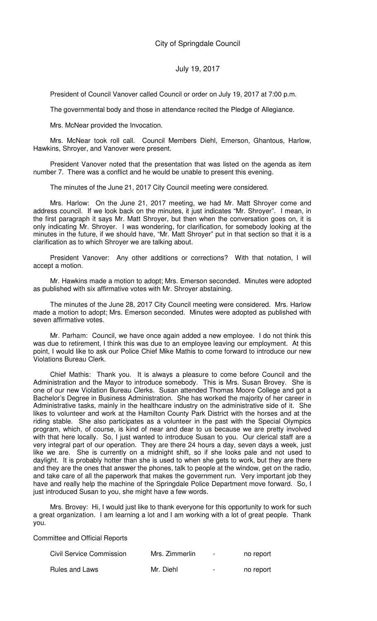President of Council Vanover called Council or order on July 19, 2017 at 7:00 p.m.

The governmental body and those in attendance recited the Pledge of Allegiance.

Mrs. McNear provided the Invocation.

Mrs. McNear took roll call. Council Members Diehl, Emerson, Ghantous, Harlow, Hawkins, Shroyer, and Vanover were present.

President Vanover noted that the presentation that was listed on the agenda as item number 7. There was a conflict and he would be unable to present this evening.

The minutes of the June 21, 2017 City Council meeting were considered.

Mrs. Harlow: On the June 21, 2017 meeting, we had Mr. Matt Shroyer come and address council. If we look back on the minutes, it just indicates "Mr. Shroyer". I mean, in the first paragraph it says Mr. Matt Shroyer, but then when the conversation goes on, it is only indicating Mr. Shroyer. I was wondering, for clarification, for somebody looking at the minutes in the future, if we should have, "Mr. Matt Shroyer" put in that section so that it is a clarification as to which Shroyer we are talking about.

President Vanover: Any other additions or corrections? With that notation, I will accept a motion.

Mr. Hawkins made a motion to adopt; Mrs. Emerson seconded. Minutes were adopted as published with six affirmative votes with Mr. Shroyer abstaining.

The minutes of the June 28, 2017 City Council meeting were considered. Mrs. Harlow made a motion to adopt; Mrs. Emerson seconded. Minutes were adopted as published with seven affirmative votes.

Mr. Parham: Council, we have once again added a new employee. I do not think this was due to retirement, I think this was due to an employee leaving our employment. At this point, I would like to ask our Police Chief Mike Mathis to come forward to introduce our new Violations Bureau Clerk.

Chief Mathis: Thank you. It is always a pleasure to come before Council and the Administration and the Mayor to introduce somebody. This is Mrs. Susan Brovey. She is one of our new Violation Bureau Clerks. Susan attended Thomas Moore College and got a Bachelor's Degree in Business Administration. She has worked the majority of her career in Administrative tasks, mainly in the healthcare industry on the administrative side of it. She likes to volunteer and work at the Hamilton County Park District with the horses and at the riding stable. She also participates as a volunteer in the past with the Special Olympics program, which, of course, is kind of near and dear to us because we are pretty involved with that here locally. So, I just wanted to introduce Susan to you. Our clerical staff are a very integral part of our operation. They are there 24 hours a day, seven days a week, just like we are. She is currently on a midnight shift, so if she looks pale and not used to daylight. It is probably hotter than she is used to when she gets to work, but they are there and they are the ones that answer the phones, talk to people at the window, get on the radio, and take care of all the paperwork that makes the government run. Very important job they have and really help the machine of the Springdale Police Department move forward. So, I just introduced Susan to you, she might have a few words.

Mrs. Brovey: Hi, I would just like to thank everyone for this opportunity to work for such a great organization. I am learning a lot and I am working with a lot of great people. Thank you.

Committee and Official Reports

| <b>Civil Service Commission</b> | Mrs. Zimmerlin | $\blacksquare$ | no report |
|---------------------------------|----------------|----------------|-----------|
| Rules and Laws                  | Mr. Diehl      | $\blacksquare$ | no report |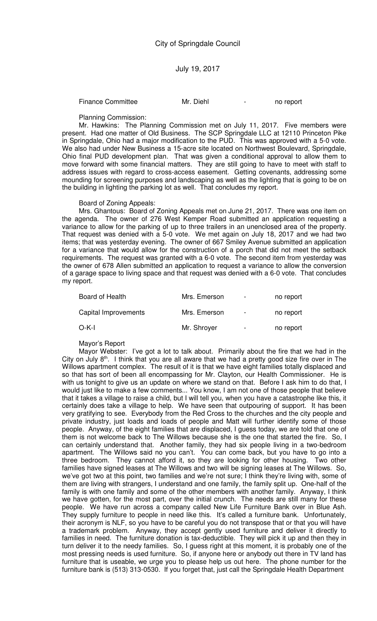Finance Committee Mr. Diehl - no report

Planning Commission:

Mr. Hawkins: The Planning Commission met on July 11, 2017. Five members were present. Had one matter of Old Business. The SCP Springdale LLC at 12110 Princeton Pike in Springdale, Ohio had a major modification to the PUD. This was approved with a 5-0 vote. We also had under New Business a 15-acre site located on Northwest Boulevard, Springdale, Ohio final PUD development plan. That was given a conditional approval to allow them to move forward with some financial matters. They are still going to have to meet with staff to address issues with regard to cross-access easement. Getting covenants, addressing some mounding for screening purposes and landscaping as well as the lighting that is going to be on the building in lighting the parking lot as well. That concludes my report.

Board of Zoning Appeals:

Mrs. Ghantous: Board of Zoning Appeals met on June 21, 2017. There was one item on the agenda. The owner of 276 West Kemper Road submitted an application requesting a variance to allow for the parking of up to three trailers in an unenclosed area of the property. That request was denied with a 5-0 vote. We met again on July 18, 2017 and we had two items; that was yesterday evening. The owner of 667 Smiley Avenue submitted an application for a variance that would allow for the construction of a porch that did not meet the setback requirements. The request was granted with a 6-0 vote. The second item from yesterday was the owner of 678 Allen submitted an application to request a variance to allow the conversion of a garage space to living space and that request was denied with a 6-0 vote. That concludes my report.

| Board of Health      | Mrs. Emerson | $\blacksquare$           | no report |
|----------------------|--------------|--------------------------|-----------|
| Capital Improvements | Mrs. Emerson | $\blacksquare$           | no report |
| O-K-I                | Mr. Shroyer  | $\overline{\phantom{0}}$ | no report |

Mayor's Report

Mayor Webster: I've got a lot to talk about. Primarily about the fire that we had in the City on July  $8<sup>th</sup>$ . I think that you are all aware that we had a pretty good size fire over in The Willows apartment complex. The result of it is that we have eight families totally displaced and so that has sort of been all encompassing for Mr. Clayton, our Health Commissioner. He is with us tonight to give us an update on where we stand on that. Before I ask him to do that, I would just like to make a few comments... You know, I am not one of those people that believe that it takes a village to raise a child, but I will tell you, when you have a catastrophe like this, it certainly does take a village to help. We have seen that outpouring of support. It has been very gratifying to see. Everybody from the Red Cross to the churches and the city people and private industry, just loads and loads of people and Matt will further identify some of those people. Anyway, of the eight families that are displaced, I guess today, we are told that one of them is not welcome back to The Willows because she is the one that started the fire. So, I can certainly understand that. Another family, they had six people living in a two-bedroom apartment. The Willows said no you can't. You can come back, but you have to go into a three bedroom. They cannot afford it, so they are looking for other housing. Two other families have signed leases at The Willows and two will be signing leases at The Willows. So, we've got two at this point, two families and we're not sure; I think they're living with, some of them are living with strangers, I understand and one family, the family split up. One-half of the family is with one family and some of the other members with another family. Anyway, I think we have gotten, for the most part, over the initial crunch. The needs are still many for these people. We have run across a company called New Life Furniture Bank over in Blue Ash. They supply furniture to people in need like this. It's called a furniture bank. Unfortunately, their acronym is NLF, so you have to be careful you do not transpose that or that you will have a trademark problem. Anyway, they accept gently used furniture and deliver it directly to families in need. The furniture donation is tax-deductible. They will pick it up and then they in turn deliver it to the needy families. So, I guess right at this moment, it is probably one of the most pressing needs is used furniture. So, if anyone here or anybody out there in TV land has furniture that is useable, we urge you to please help us out here. The phone number for the furniture bank is (513) 313-0530. If you forget that, just call the Springdale Health Department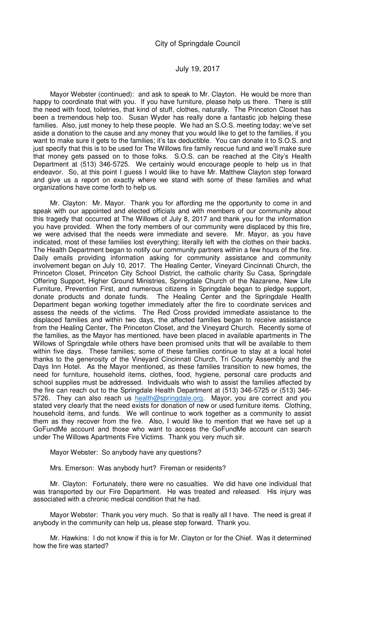Mayor Webster (continued): and ask to speak to Mr. Clayton. He would be more than happy to coordinate that with you. If you have furniture, please help us there. There is still the need with food, toiletries, that kind of stuff, clothes, naturally. The Princeton Closet has been a tremendous help too. Susan Wyder has really done a fantastic job helping these families. Also, just money to help these people. We had an S.O.S. meeting today; we've set aside a donation to the cause and any money that you would like to get to the families, if you want to make sure it gets to the families; it's tax deductible. You can donate it to S.O.S. and just specify that this is to be used for The Willows fire family rescue fund and we'll make sure that money gets passed on to those folks. S.O.S. can be reached at the City's Health Department at (513) 346-5725. We certainly would encourage people to help us in that endeavor. So, at this point I guess I would like to have Mr. Matthew Clayton step forward and give us a report on exactly where we stand with some of these families and what organizations have come forth to help us.

Mr. Clayton: Mr. Mayor. Thank you for affording me the opportunity to come in and speak with our appointed and elected officials and with members of our community about this tragedy that occurred at The Willows of July 8, 2017 and thank you for the information you have provided. When the forty members of our community were displaced by this fire, we were advised that the needs were immediate and severe. Mr. Mayor, as you have indicated, most of these families lost everything; literally left with the clothes on their backs. The Health Department began to notify our community partners within a few hours of the fire. Daily emails providing information asking for community assistance and community involvement began on July 10, 2017. The Healing Center, Vineyard Cincinnati Church, the Princeton Closet, Princeton City School District, the catholic charity Su Casa, Springdale Offering Support, Higher Ground Ministries, Springdale Church of the Nazarene, New Life Furniture, Prevention First, and numerous citizens in Springdale began to pledge support, donate products and donate funds. The Healing Center and the Springdale Health Department began working together immediately after the fire to coordinate services and assess the needs of the victims. The Red Cross provided immediate assistance to the displaced families and within two days, the affected families began to receive assistance from the Healing Center, The Princeton Closet, and the Vineyard Church. Recently some of the families, as the Mayor has mentioned, have been placed in available apartments in The Willows of Springdale while others have been promised units that will be available to them within five days. These families; some of these families continue to stay at a local hotel thanks to the generosity of the Vineyard Cincinnati Church, Tri County Assembly and the Days Inn Hotel. As the Mayor mentioned, as these families transition to new homes, the need for furniture, household items, clothes, food, hygiene, personal care products and school supplies must be addressed. Individuals who wish to assist the families affected by the fire can reach out to the Springdale Health Department at (513) 346-5725 or (513) 346- 5726. They can also reach us health@springdale.org. Mayor, you are correct and you stated very clearly that the need exists for donation of new or used furniture items. Clothing, household items, and funds. We will continue to work together as a community to assist them as they recover from the fire. Also, I would like to mention that we have set up a GoFundMe account and those who want to access the GoFundMe account can search under The Willows Apartments Fire Victims. Thank you very much sir.

Mayor Webster: So anybody have any questions?

Mrs. Emerson: Was anybody hurt? Fireman or residents?

Mr. Clayton: Fortunately, there were no casualties. We did have one individual that was transported by our Fire Department. He was treated and released. His injury was associated with a chronic medical condition that he had.

Mayor Webster: Thank you very much. So that is really all I have. The need is great if anybody in the community can help us, please step forward. Thank you.

Mr. Hawkins: I do not know if this is for Mr. Clayton or for the Chief. Was it determined how the fire was started?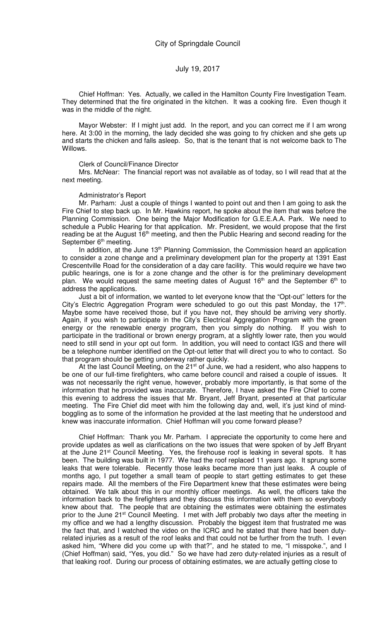Chief Hoffman: Yes. Actually, we called in the Hamilton County Fire Investigation Team. They determined that the fire originated in the kitchen. It was a cooking fire. Even though it was in the middle of the night.

Mayor Webster: If I might just add. In the report, and you can correct me if I am wrong here. At 3:00 in the morning, the lady decided she was going to fry chicken and she gets up and starts the chicken and falls asleep. So, that is the tenant that is not welcome back to The Willows.

#### Clerk of Council/Finance Director

Mrs. McNear: The financial report was not available as of today, so I will read that at the next meeting.

#### Administrator's Report

Mr. Parham: Just a couple of things I wanted to point out and then I am going to ask the Fire Chief to step back up. In Mr. Hawkins report, he spoke about the item that was before the Planning Commission. One being the Major Modification for G.E.E.A.A. Park. We need to schedule a Public Hearing for that application. Mr. President, we would propose that the first reading be at the August 16<sup>th</sup> meeting, and then the Public Hearing and second reading for the September 6<sup>th</sup> meeting.

In addition, at the June 13<sup>th</sup> Planning Commission, the Commission heard an application to consider a zone change and a preliminary development plan for the property at 1391 East Crescentville Road for the consideration of a day care facility. This would require we have two public hearings, one is for a zone change and the other is for the preliminary development plan. We would request the same meeting dates of August  $16<sup>th</sup>$  and the September  $6<sup>th</sup>$  to address the applications.

Just a bit of information, we wanted to let everyone know that the "Opt-out" letters for the City's Electric Aggregation Program were scheduled to go out this past Monday, the  $17<sup>th</sup>$ . Maybe some have received those, but if you have not, they should be arriving very shortly. Again, if you wish to participate in the City's Electrical Aggregation Program with the green energy or the renewable energy program, then you simply do nothing. If you wish to participate in the traditional or brown energy program, at a slightly lower rate, then you would need to still send in your opt out form. In addition, you will need to contact IGS and there will be a telephone number identified on the Opt-out letter that will direct you to who to contact. So that program should be getting underway rather quickly.

At the last Council Meeting, on the  $21<sup>st</sup>$  of June, we had a resident, who also happens to be one of our full-time firefighters, who came before council and raised a couple of issues. It was not necessarily the right venue, however, probably more importantly, is that some of the information that he provided was inaccurate. Therefore, I have asked the Fire Chief to come this evening to address the issues that Mr. Bryant, Jeff Bryant, presented at that particular meeting. The Fire Chief did meet with him the following day and, well, it's just kind of mindboggling as to some of the information he provided at the last meeting that he understood and knew was inaccurate information. Chief Hoffman will you come forward please?

Chief Hoffman: Thank you Mr. Parham. I appreciate the opportunity to come here and provide updates as well as clarifications on the two issues that were spoken of by Jeff Bryant at the June 21<sup>st</sup> Council Meeting. Yes, the firehouse roof is leaking in several spots. It has been. The building was built in 1977. We had the roof replaced 11 years ago. It sprung some leaks that were tolerable. Recently those leaks became more than just leaks. A couple of months ago, I put together a small team of people to start getting estimates to get these repairs made. All the members of the Fire Department knew that these estimates were being obtained. We talk about this in our monthly officer meetings. As well, the officers take the information back to the firefighters and they discuss this information with them so everybody knew about that. The people that are obtaining the estimates were obtaining the estimates prior to the June 21<sup>st</sup> Council Meeting. I met with Jeff probably two days after the meeting in my office and we had a lengthy discussion. Probably the biggest item that frustrated me was the fact that, and I watched the video on the ICRC and he stated that there had been dutyrelated injuries as a result of the roof leaks and that could not be further from the truth. I even asked him, "Where did you come up with that?", and he stated to me, "I misspoke.", and I (Chief Hoffman) said, "Yes, you did." So we have had zero duty-related injuries as a result of that leaking roof. During our process of obtaining estimates, we are actually getting close to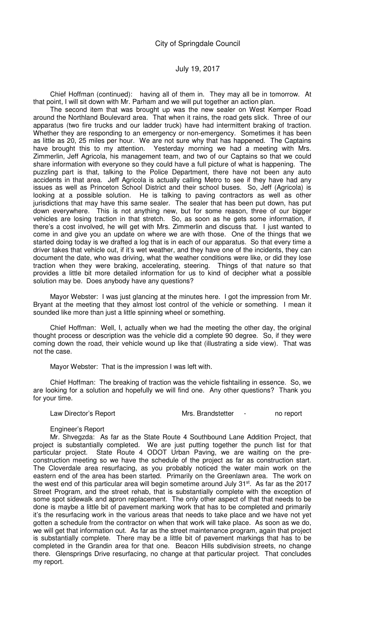Chief Hoffman (continued): having all of them in. They may all be in tomorrow. At that point, I will sit down with Mr. Parham and we will put together an action plan.

The second item that was brought up was the new sealer on West Kemper Road around the Northland Boulevard area. That when it rains, the road gets slick. Three of our apparatus (two fire trucks and our ladder truck) have had intermittent braking of traction. Whether they are responding to an emergency or non-emergency. Sometimes it has been as little as 20, 25 miles per hour. We are not sure why that has happened. The Captains have brought this to my attention. Yesterday morning we had a meeting with Mrs. Zimmerlin, Jeff Agricola, his management team, and two of our Captains so that we could share information with everyone so they could have a full picture of what is happening. The puzzling part is that, talking to the Police Department, there have not been any auto accidents in that area. Jeff Agricola is actually calling Metro to see if they have had any issues as well as Princeton School District and their school buses. So, Jeff (Agricola) is looking at a possible solution. He is talking to paving contractors as well as other jurisdictions that may have this same sealer. The sealer that has been put down, has put down everywhere. This is not anything new, but for some reason, three of our bigger vehicles are losing traction in that stretch. So, as soon as he gets some information, if there's a cost involved, he will get with Mrs. Zimmerlin and discuss that. I just wanted to come in and give you an update on where we are with those. One of the things that we started doing today is we drafted a log that is in each of our apparatus. So that every time a driver takes that vehicle out, if it's wet weather, and they have one of the incidents, they can document the date, who was driving, what the weather conditions were like, or did they lose traction when they were braking, accelerating, steering. Things of that nature so that provides a little bit more detailed information for us to kind of decipher what a possible solution may be. Does anybody have any questions?

Mayor Webster: I was just glancing at the minutes here. I got the impression from Mr. Bryant at the meeting that they almost lost control of the vehicle or something. I mean it sounded like more than just a little spinning wheel or something.

Chief Hoffman: Well, I, actually when we had the meeting the other day, the original thought process or description was the vehicle did a complete 90 degree. So, if they were coming down the road, their vehicle wound up like that (illustrating a side view). That was not the case.

Mayor Webster: That is the impression I was left with.

Chief Hoffman: The breaking of traction was the vehicle fishtailing in essence. So, we are looking for a solution and hopefully we will find one. Any other questions? Thank you for your time.

Law Director's Report Mrs. Brandstetter - no report

#### Engineer's Report

Mr. Shvegzda: As far as the State Route 4 Southbound Lane Addition Project, that project is substantially completed. We are just putting together the punch list for that particular project. State Route 4 ODOT Urban Paving, we are waiting on the preconstruction meeting so we have the schedule of the project as far as construction start. The Cloverdale area resurfacing, as you probably noticed the water main work on the eastern end of the area has been started. Primarily on the Greenlawn area. The work on the west end of this particular area will begin sometime around July 31<sup>st</sup>. As far as the 2017 Street Program, and the street rehab, that is substantially complete with the exception of some spot sidewalk and apron replacement. The only other aspect of that that needs to be done is maybe a little bit of pavement marking work that has to be completed and primarily it's the resurfacing work in the various areas that needs to take place and we have not yet gotten a schedule from the contractor on when that work will take place. As soon as we do, we will get that information out. As far as the street maintenance program, again that project is substantially complete. There may be a little bit of pavement markings that has to be completed in the Grandin area for that one. Beacon Hills subdivision streets, no change there. Glensprings Drive resurfacing, no change at that particular project. That concludes my report.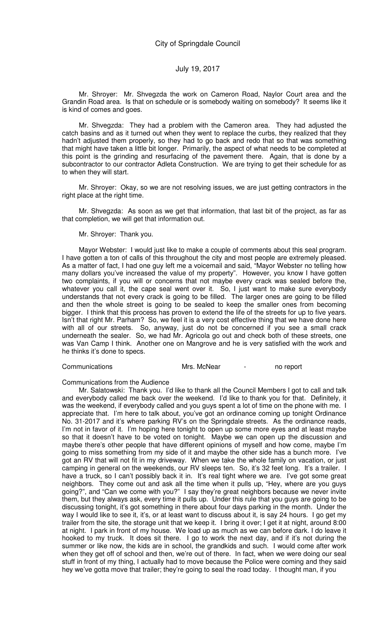Mr. Shroyer: Mr. Shvegzda the work on Cameron Road, Naylor Court area and the Grandin Road area. Is that on schedule or is somebody waiting on somebody? It seems like it is kind of comes and goes.

Mr. Shvegzda: They had a problem with the Cameron area. They had adjusted the catch basins and as it turned out when they went to replace the curbs, they realized that they hadn't adjusted them properly, so they had to go back and redo that so that was something that might have taken a little bit longer. Primarily, the aspect of what needs to be completed at this point is the grinding and resurfacing of the pavement there. Again, that is done by a subcontractor to our contractor Adleta Construction. We are trying to get their schedule for as to when they will start.

Mr. Shroyer: Okay, so we are not resolving issues, we are just getting contractors in the right place at the right time.

Mr. Shvegzda: As soon as we get that information, that last bit of the project, as far as that completion, we will get that information out.

Mr. Shroyer: Thank you.

Mayor Webster: I would just like to make a couple of comments about this seal program. I have gotten a ton of calls of this throughout the city and most people are extremely pleased. As a matter of fact, I had one guy left me a voicemail and said, "Mayor Webster no telling how many dollars you've increased the value of my property". However, you know I have gotten two complaints, if you will or concerns that not maybe every crack was sealed before the, whatever you call it, the cape seal went over it. So, I just want to make sure everybody understands that not every crack is going to be filled. The larger ones are going to be filled and then the whole street is going to be sealed to keep the smaller ones from becoming bigger. I think that this process has proven to extend the life of the streets for up to five years. Isn't that right Mr. Parham? So, we feel it is a very cost effective thing that we have done here with all of our streets. So, anyway, just do not be concerned if you see a small crack underneath the sealer. So, we had Mr. Agricola go out and check both of these streets, one was Van Camp I think. Another one on Mangrove and he is very satisfied with the work and he thinks it's done to specs.

Communications Mrs. McNear - no report

#### Communications from the Audience

Mr. Salatowski: Thank you. I'd like to thank all the Council Members I got to call and talk and everybody called me back over the weekend. I'd like to thank you for that. Definitely, it was the weekend, if everybody called and you guys spent a lot of time on the phone with me. I appreciate that. I'm here to talk about, you've got an ordinance coming up tonight Ordinance No. 31-2017 and it's where parking RV's on the Springdale streets. As the ordinance reads, I'm not in favor of it. I'm hoping here tonight to open up some more eyes and at least maybe so that it doesn't have to be voted on tonight. Maybe we can open up the discussion and maybe there's other people that have different opinions of myself and how come, maybe I'm going to miss something from my side of it and maybe the other side has a bunch more. I've got an RV that will not fit in my driveway. When we take the whole family on vacation, or just camping in general on the weekends, our RV sleeps ten. So, it's 32 feet long. It's a trailer. I have a truck, so I can't possibly back it in. It's real tight where we are. I've got some great neighbors. They come out and ask all the time when it pulls up, "Hey, where are you guys going?", and "Can we come with you?" I say they're great neighbors because we never invite them, but they always ask, every time it pulls up. Under this rule that you guys are going to be discussing tonight, it's got something in there about four days parking in the month. Under the way I would like to see it, it's, or at least want to discuss about it, is say 24 hours. I go get my trailer from the site, the storage unit that we keep it. I bring it over; I get it at night, around 8:00 at night. I park in front of my house. We load up as much as we can before dark. I do leave it hooked to my truck. It does sit there. I go to work the next day, and if it's not during the summer or like now, the kids are in school, the grandkids and such. I would come after work when they get off of school and then, we're out of there. In fact, when we were doing our seal stuff in front of my thing, I actually had to move because the Police were coming and they said hey we've gotta move that trailer; they're going to seal the road today. I thought man, if you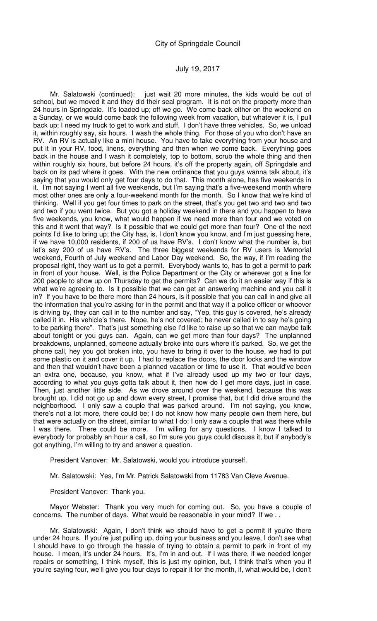Mr. Salatowski (continued): just wait 20 more minutes, the kids would be out of school, but we moved it and they did their seal program. It is not on the property more than 24 hours in Springdale. It's loaded up; off we go. We come back either on the weekend on a Sunday, or we would come back the following week from vacation, but whatever it is, I pull back up; I need my truck to get to work and stuff. I don't have three vehicles. So, we unload it, within roughly say, six hours. I wash the whole thing. For those of you who don't have an RV. An RV is actually like a mini house. You have to take everything from your house and put it in your RV, food, linens, everything and then when we come back. Everything goes back in the house and I wash it completely, top to bottom, scrub the whole thing and then within roughly six hours, but before 24 hours, it's off the property again, off Springdale and back on its pad where it goes. With the new ordinance that you guys wanna talk about, it's saying that you would only get four days to do that. This month alone, has five weekends in it. I'm not saying I went all five weekends, but I'm saying that's a five-weekend month where most other ones are only a four-weekend month for the month. So I know that we're kind of thinking. Well if you get four times to park on the street, that's you get two and two and two and two if you went twice. But you got a holiday weekend in there and you happen to have five weekends, you know, what would happen if we need more than four and we voted on this and it went that way? Is it possible that we could get more than four? One of the next points I'd like to bring up; the City has, is, I don't know you know, and I'm just guessing here, if we have 10,000 residents, if 200 of us have RV's. I don't know what the number is, but let's say 200 of us have RV's. The three biggest weekends for RV users is Memorial weekend, Fourth of July weekend and Labor Day weekend. So, the way, if I'm reading the proposal right, they want us to get a permit. Everybody wants to, has to get a permit to park in front of your house. Well, is the Police Department or the City or wherever got a line for 200 people to show up on Thursday to get the permits? Can we do it an easier way if this is what we're agreeing to. Is it possible that we can get an answering machine and you call it in? If you have to be there more than 24 hours, is it possible that you can call in and give all the information that you're asking for in the permit and that way if a police officer or whoever is driving by, they can call in to the number and say, "Yep, this guy is covered, he's already called it in. His vehicle's there. Nope, he's not covered; he never called in to say he's going to be parking there". That's just something else I'd like to raise up so that we can maybe talk about tonight or you guys can. Again, can we get more than four days? The unplanned breakdowns, unplanned, someone actually broke into ours where it's parked. So, we get the phone call, hey you got broken into, you have to bring it over to the house, we had to put some plastic on it and cover it up. I had to replace the doors, the door locks and the window and then that wouldn't have been a planned vacation or time to use it. That would've been an extra one, because, you know, what if I've already used up my two or four days, according to what you guys gotta talk about it, then how do I get more days, just in case. Then, just another little side. As we drove around over the weekend, because this was brought up, I did not go up and down every street, I promise that, but I did drive around the neighborhood. I only saw a couple that was parked around. I'm not saying, you know, there's not a lot more, there could be; I do not know how many people own them here, but that were actually on the street, similar to what I do; I only saw a couple that was there while I was there. There could be more. I'm willing for any questions. I know I talked to everybody for probably an hour a call, so I'm sure you guys could discuss it, but if anybody's got anything, I'm willing to try and answer a question.

President Vanover: Mr. Salatowski, would you introduce yourself.

Mr. Salatowski: Yes, I'm Mr. Patrick Salatowski from 11783 Van Cleve Avenue.

President Vanover: Thank you.

Mayor Webster: Thank you very much for coming out. So, you have a couple of concerns. The number of days. What would be reasonable in your mind? If we . .

Mr. Salatowski: Again, I don't think we should have to get a permit if you're there under 24 hours. If you're just pulling up, doing your business and you leave, I don't see what I should have to go through the hassle of trying to obtain a permit to park in front of my house. I mean, it's under 24 hours. It's, I'm in and out. If I was there, if we needed longer repairs or something, I think myself, this is just my opinion, but, I think that's when you if you're saying four, we'll give you four days to repair it for the month, if, what would be, I don't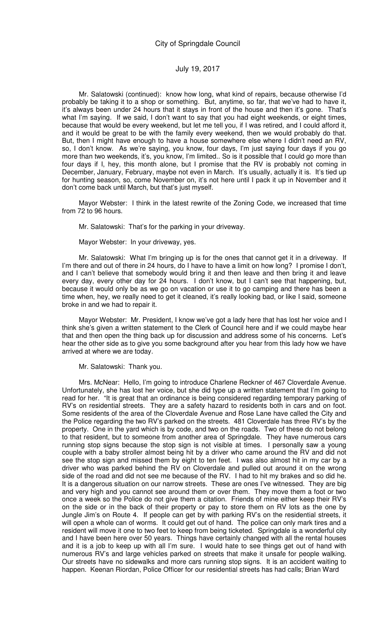Mr. Salatowski (continued): know how long, what kind of repairs, because otherwise I'd probably be taking it to a shop or something. But, anytime, so far, that we've had to have it, it's always been under 24 hours that it stays in front of the house and then it's gone. That's what I'm saying. If we said, I don't want to say that you had eight weekends, or eight times, because that would be every weekend, but let me tell you, if I was retired, and I could afford it, and it would be great to be with the family every weekend, then we would probably do that. But, then I might have enough to have a house somewhere else where I didn't need an RV, so, I don't know. As we're saying, you know, four days, I'm just saying four days if you go more than two weekends, it's, you know, I'm limited.. So is it possible that I could go more than four days if I, hey, this month alone, but I promise that the RV is probably not coming in December, January, February, maybe not even in March. It's usually, actually it is. It's tied up for hunting season, so, come November on, it's not here until I pack it up in November and it don't come back until March, but that's just myself.

Mayor Webster: I think in the latest rewrite of the Zoning Code, we increased that time from 72 to 96 hours.

Mr. Salatowski: That's for the parking in your driveway.

Mayor Webster: In your driveway, yes.

Mr. Salatowski: What I'm bringing up is for the ones that cannot get it in a driveway. If I'm there and out of there in 24 hours, do I have to have a limit on how long? I promise I don't, and I can't believe that somebody would bring it and then leave and then bring it and leave every day, every other day for 24 hours. I don't know, but I can't see that happening, but, because it would only be as we go on vacation or use it to go camping and there has been a time when, hey, we really need to get it cleaned, it's really looking bad, or like I said, someone broke in and we had to repair it.

Mayor Webster: Mr. President, I know we've got a lady here that has lost her voice and I think she's given a written statement to the Clerk of Council here and if we could maybe hear that and then open the thing back up for discussion and address some of his concerns. Let's hear the other side as to give you some background after you hear from this lady how we have arrived at where we are today.

Mr. Salatowski: Thank you.

Mrs. McNear: Hello, I'm going to introduce Charlene Reckner of 467 Cloverdale Avenue. Unfortunately, she has lost her voice, but she did type up a written statement that I'm going to read for her. "It is great that an ordinance is being considered regarding temporary parking of RV's on residential streets. They are a safety hazard to residents both in cars and on foot. Some residents of the area of the Cloverdale Avenue and Rose Lane have called the City and the Police regarding the two RV's parked on the streets. 481 Cloverdale has three RV's by the property. One in the yard which is by code, and two on the roads. Two of these do not belong to that resident, but to someone from another area of Springdale. They have numerous cars running stop signs because the stop sign is not visible at times. I personally saw a young couple with a baby stroller almost being hit by a driver who came around the RV and did not see the stop sign and missed them by eight to ten feet. I was also almost hit in my car by a driver who was parked behind the RV on Cloverdale and pulled out around it on the wrong side of the road and did not see me because of the RV. I had to hit my brakes and so did he. It is a dangerous situation on our narrow streets. These are ones I've witnessed. They are big and very high and you cannot see around them or over them. They move them a foot or two once a week so the Police do not give them a citation. Friends of mine either keep their RV's on the side or in the back of their property or pay to store them on RV lots as the one by Jungle Jim's on Route 4. If people can get by with parking RV's on the residential streets, it will open a whole can of worms. It could get out of hand. The police can only mark tires and a resident will move it one to two feet to keep from being ticketed. Springdale is a wonderful city and I have been here over 50 years. Things have certainly changed with all the rental houses and it is a job to keep up with all I'm sure. I would hate to see things get out of hand with numerous RV's and large vehicles parked on streets that make it unsafe for people walking. Our streets have no sidewalks and more cars running stop signs. It is an accident waiting to happen. Keenan Riordan, Police Officer for our residential streets has had calls; Brian Ward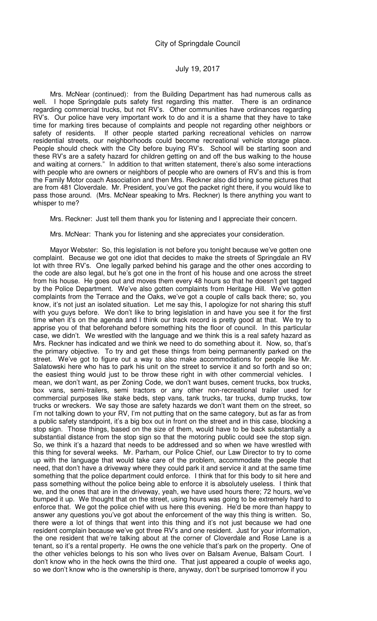Mrs. McNear (continued): from the Building Department has had numerous calls as well. I hope Springdale puts safety first regarding this matter. There is an ordinance regarding commercial trucks, but not RV's. Other communities have ordinances regarding RV's. Our police have very important work to do and it is a shame that they have to take time for marking tires because of complaints and people not regarding other neighbors or safety of residents. If other people started parking recreational vehicles on narrow residential streets, our neighborhoods could become recreational vehicle storage place. People should check with the City before buying RV's. School will be starting soon and these RV's are a safety hazard for children getting on and off the bus walking to the house and waiting at corners." In addition to that written statement, there's also some interactions with people who are owners or neighbors of people who are owners of RV's and this is from the Family Motor coach Association and then Mrs. Reckner also did bring some pictures that are from 481 Cloverdale. Mr. President, you've got the packet right there, if you would like to pass those around. (Mrs. McNear speaking to Mrs. Reckner) Is there anything you want to whisper to me?

Mrs. Reckner: Just tell them thank you for listening and I appreciate their concern.

Mrs. McNear: Thank you for listening and she appreciates your consideration.

Mayor Webster: So, this legislation is not before you tonight because we've gotten one complaint. Because we got one idiot that decides to make the streets of Springdale an RV lot with three RV's. One legally parked behind his garage and the other ones according to the code are also legal, but he's got one in the front of his house and one across the street from his house. He goes out and moves them every 48 hours so that he doesn't get tagged by the Police Department. We've also gotten complaints from Heritage Hill. We've gotten complaints from the Terrace and the Oaks, we've got a couple of calls back there; so, you know, it's not just an isolated situation. Let me say this, I apologize for not sharing this stuff with you guys before. We don't like to bring legislation in and have you see it for the first time when it's on the agenda and I think our track record is pretty good at that. We try to apprise you of that beforehand before something hits the floor of council. In this particular case, we didn't. We wrestled with the language and we think this is a real safety hazard as Mrs. Reckner has indicated and we think we need to do something about it. Now, so, that's the primary objective. To try and get these things from being permanently parked on the street. We've got to figure out a way to also make accommodations for people like Mr. Salatowski here who has to park his unit on the street to service it and so forth and so on; the easiest thing would just to be throw these right in with other commercial vehicles. I mean, we don't want, as per Zoning Code, we don't want buses, cement trucks, box trucks, box vans, semi-trailers, semi tractors or any other non-recreational trailer used for commercial purposes like stake beds, step vans, tank trucks, tar trucks, dump trucks, tow trucks or wreckers. We say those are safety hazards we don't want them on the street, so I'm not talking down to your RV, I'm not putting that on the same category, but as far as from a public safety standpoint, it's a big box out in front on the street and in this case, blocking a stop sign. Those things, based on the size of them, would have to be back substantially a substantial distance from the stop sign so that the motoring public could see the stop sign. So, we think it's a hazard that needs to be addressed and so when we have wrestled with this thing for several weeks. Mr. Parham, our Police Chief, our Law Director to try to come up with the language that would take care of the problem, accommodate the people that need, that don't have a driveway where they could park it and service it and at the same time something that the police department could enforce. I think that for this body to sit here and pass something without the police being able to enforce it is absolutely useless. I think that we, and the ones that are in the driveway, yeah, we have used hours there; 72 hours, we've bumped it up. We thought that on the street, using hours was going to be extremely hard to enforce that. We got the police chief with us here this evening. He'd be more than happy to answer any questions you've got about the enforcement of the way this thing is written. So, there were a lot of things that went into this thing and it's not just because we had one resident complain because we've got three RV's and one resident. Just for your information, the one resident that we're talking about at the corner of Cloverdale and Rose Lane is a tenant, so it's a rental property. He owns the one vehicle that's park on the property. One of the other vehicles belongs to his son who lives over on Balsam Avenue, Balsam Court. I don't know who in the heck owns the third one. That just appeared a couple of weeks ago, so we don't know who is the ownership is there, anyway, don't be surprised tomorrow if you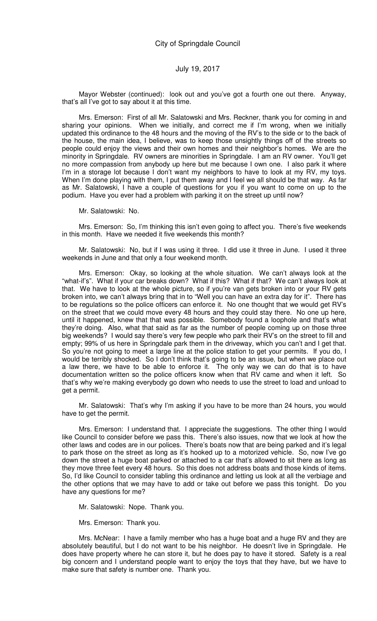Mayor Webster (continued): look out and you've got a fourth one out there. Anyway, that's all I've got to say about it at this time.

Mrs. Emerson: First of all Mr. Salatowski and Mrs. Reckner, thank you for coming in and sharing your opinions. When we initially, and correct me if I'm wrong, when we initially updated this ordinance to the 48 hours and the moving of the RV's to the side or to the back of the house, the main idea, I believe, was to keep those unsightly things off of the streets so people could enjoy the views and their own homes and their neighbor's homes. We are the minority in Springdale. RV owners are minorities in Springdale. I am an RV owner. You'll get no more compassion from anybody up here but me because I own one. I also park it where I'm in a storage lot because I don't want my neighbors to have to look at my RV, my toys. When I'm done playing with them, I put them away and I feel we all should be that way. As far as Mr. Salatowski, I have a couple of questions for you if you want to come on up to the podium. Have you ever had a problem with parking it on the street up until now?

Mr. Salatowski: No.

Mrs. Emerson: So, I'm thinking this isn't even going to affect you. There's five weekends in this month. Have we needed it five weekends this month?

Mr. Salatowski: No, but if I was using it three. I did use it three in June. I used it three weekends in June and that only a four weekend month.

Mrs. Emerson: Okay, so looking at the whole situation. We can't always look at the "what-if's". What if your car breaks down? What if this? What if that? We can't always look at that. We have to look at the whole picture, so if you're van gets broken into or your RV gets broken into, we can't always bring that in to "Well you can have an extra day for it". There has to be regulations so the police officers can enforce it. No one thought that we would get RV's on the street that we could move every 48 hours and they could stay there. No one up here, until it happened, knew that that was possible. Somebody found a loophole and that's what they're doing. Also, what that said as far as the number of people coming up on those three big weekends? I would say there's very few people who park their RV's on the street to fill and empty; 99% of us here in Springdale park them in the driveway, which you can't and I get that. So you're not going to meet a large line at the police station to get your permits. If you do, I would be terribly shocked. So I don't think that's going to be an issue, but when we place out a law there, we have to be able to enforce it. The only way we can do that is to have documentation written so the police officers know when that RV came and when it left. So that's why we're making everybody go down who needs to use the street to load and unload to get a permit.

Mr. Salatowski: That's why I'm asking if you have to be more than 24 hours, you would have to get the permit.

Mrs. Emerson: I understand that. I appreciate the suggestions. The other thing I would like Council to consider before we pass this. There's also issues, now that we look at how the other laws and codes are in our polices. There's boats now that are being parked and it's legal to park those on the street as long as it's hooked up to a motorized vehicle. So, now I've go down the street a huge boat parked or attached to a car that's allowed to sit there as long as they move three feet every 48 hours. So this does not address boats and those kinds of items. So, I'd like Council to consider tabling this ordinance and letting us look at all the verbiage and the other options that we may have to add or take out before we pass this tonight. Do you have any questions for me?

Mr. Salatowski: Nope. Thank you.

Mrs. Emerson: Thank you.

Mrs. McNear: I have a family member who has a huge boat and a huge RV and they are absolutely beautiful, but I do not want to be his neighbor. He doesn't live in Springdale. He does have property where he can store it, but he does pay to have it stored. Safety is a real big concern and I understand people want to enjoy the toys that they have, but we have to make sure that safety is number one. Thank you.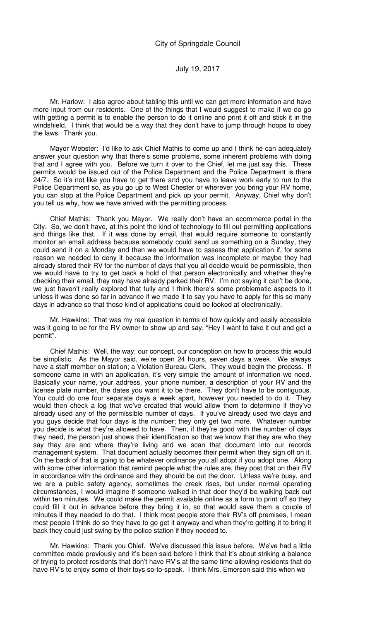Mr. Harlow: I also agree about tabling this until we can get more information and have more input from our residents. One of the things that I would suggest to make if we do go with getting a permit is to enable the person to do it online and print it off and stick it in the windshield. I think that would be a way that they don't have to jump through hoops to obey the laws. Thank you.

Mayor Webster: I'd like to ask Chief Mathis to come up and I think he can adequately answer your question why that there's some problems, some inherent problems with doing that and I agree with you. Before we turn it over to the Chief, let me just say this. These permits would be issued out of the Police Department and the Police Department is there 24/7. So it's not like you have to get there and you have to leave work early to run to the Police Department so, as you go up to West Chester or wherever you bring your RV home, you can stop at the Police Department and pick up your permit. Anyway, Chief why don't you tell us why, how we have arrived with the permitting process.

Chief Mathis: Thank you Mayor. We really don't have an ecommerce portal in the City. So, we don't have, at this point the kind of technology to fill out permitting applications and things like that. If it was done by email, that would require someone to constantly monitor an email address because somebody could send us something on a Sunday, they could send it on a Monday and then we would have to assess that application if, for some reason we needed to deny it because the information was incomplete or maybe they had already stored their RV for the number of days that you all decide would be permissible, then we would have to try to get back a hold of that person electronically and whether they're checking their email, they may have already parked their RV. I'm not saying it can't be done, we just haven't really explored that fully and I think there's some problematic aspects to it unless it was done so far in advance if we made it to say you have to apply for this so many days in advance so that those kind of applications could be looked at electronically.

Mr. Hawkins: That was my real question in terms of how quickly and easily accessible was it going to be for the RV owner to show up and say, "Hey I want to take it out and get a permit".

Chief Mathis: Well, the way, our concept, our conception on how to process this would be simplistic. As the Mayor said, we're open 24 hours, seven days a week. We always have a staff member on station; a Violation Bureau Clerk. They would begin the process. If someone came in with an application, it's very simple the amount of information we need. Basically your name, your address, your phone number, a description of your RV and the license plate number, the dates you want it to be there. They don't have to be contiguous. You could do one four separate days a week apart, however you needed to do it. They would then check a log that we've created that would allow them to determine if they've already used any of the permissible number of days. If you've already used two days and you guys decide that four days is the number; they only get two more. Whatever number you decide is what they're allowed to have. Then, if they're good with the number of days they need, the person just shows their identification so that we know that they are who they say they are and where they're living and we scan that document into our records management system. That document actually becomes their permit when they sign off on it. On the back of that is going to be whatever ordinance you all adopt if you adopt one. Along with some other information that remind people what the rules are, they post that on their RV in accordance with the ordinance and they should be out the door. Unless we're busy, and we are a public safety agency, sometimes the creek rises, but under normal operating circumstances, I would imagine if someone walked in that door they'd be walking back out within ten minutes. We could make the permit available online as a form to print off so they could fill it out in advance before they bring it in, so that would save them a couple of minutes if they needed to do that. I think most people store their RV's off premises, I mean most people I think do so they have to go get it anyway and when they're getting it to bring it back they could just swing by the police station if they needed to.

Mr. Hawkins: Thank you Chief. We've discussed this issue before. We've had a little committee made previously and it's been said before I think that it's about striking a balance of trying to protect residents that don't have RV's at the same time allowing residents that do have RV's to enjoy some of their toys so-to-speak. I think Mrs. Emerson said this when we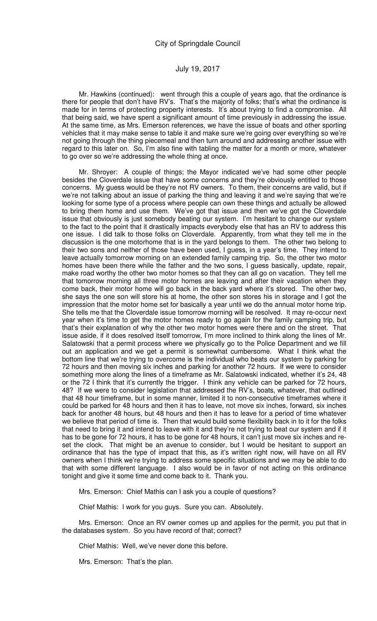Mr. Hawkins (continued): went through this a couple of years ago, that the ordinance is there for people that don't have RV's. That's the majority of folks; that's what the ordinance is made for in terms of protecting property interests. It's about trying to find a compromise. All that being said, we have spent a significant amount of time previously in addressing the issue. At the same time, as Mrs. Emerson references, we have the issue of boats and other sporting vehicles that it may make sense to table it and make sure we're going over everything so we're not going through the thing piecemeal and then turn around and addressing another issue with regard to this later on. So, I'm also fine with tabling the matter for a month or more, whatever to go over so we're addressing the whole thing at once.

Mr. Shroyer: A couple of things; the Mayor indicated we've had some other people besides the Cloverdale issue that have some concerns and they're obviously entitled to those concerns. My guess would be they're not RV owners. To them, their concerns are valid, but if we're not talking about an issue of parking the thing and leaving it and we're saying that we're looking for some type of a process where people can own these things and actually be allowed to bring them home and use them. We've got that issue and then we've got the Cloverdale issue that obviously is just somebody beating our system. I'm hesitant to change our system to the fact to the point that it drastically impacts everybody else that has an RV to address this one issue. I did talk to those folks on Cloverdale. Apparently, from what they tell me in the discussion is the one motorhome that is in the yard belongs to them. The other two belong to their two sons and neither of those have been used, I guess, in a year's time. They intend to leave actually tomorrow morning on an extended family camping trip. So, the other two motor homes have been there while the father and the two sons, I guess basically, update, repair, make road worthy the other two motor homes so that they can all go on vacation. They tell me that tomorrow morning all three motor homes are leaving and after their vacation when they come back, their motor home will go back in the back yard where it's stored. The other two, she says the one son will store his at home, the other son stores his in storage and I got the impression that the motor home set for basically a year until we do the annual motor home trip. She tells me that the Cloverdale issue tomorrow morning will be resolved. It may re-occur next year when it's time to get the motor homes ready to go again for the family camping trip, but that's their explanation of why the other two motor homes were there and on the street. That issue aside, if it does resolved itself tomorrow, I'm more inclined to think along the lines of Mr. Salatowski that a permit process where we physically go to the Police Department and we fill out an application and we get a permit is somewhat cumbersome. What I think what the bottom line that we're trying to overcome is the individual who beats our system by parking for 72 hours and then moving six inches and parking for another 72 hours. If we were to consider something more along the lines of a timeframe as Mr. Salatowski indicated, whether it's 24, 48 or the 72 I think that it's currently the trigger. I think any vehicle can be parked for 72 hours, 48? If we were to consider legislation that addressed the RV's, boats, whatever, that outlined that 48 hour timeframe, but in some manner, limited it to non-consecutive timeframes where it could be parked for 48 hours and then it has to leave, not move six inches, forward, six inches back for another 48 hours, but 48 hours and then it has to leave for a period of time whatever we believe that period of time is. Then that would build some flexibility back in to it for the folks that need to bring it and intend to leave with it and they're not trying to beat our system and if it has to be gone for 72 hours, it has to be gone for 48 hours, it can't just move six inches and reset the clock. That might be an avenue to consider, but I would be hesitant to support an ordinance that has the type of impact that this, as it's written right now, will have on all RV owners when I think we're trying to address some specific situations and we may be able to do that with some different language. I also would be in favor of not acting on this ordinance tonight and give it some time and come back to it. Thank you.

Mrs. Emerson: Chief Mathis can I ask you a couple of questions?

Chief Mathis: I work for you guys. Sure you can. Absolutely.

Mrs. Emerson: Once an RV owner comes up and applies for the permit, you put that in the databases system. So you have record of that; correct?

Chief Mathis: Well, we've never done this before.

Mrs. Emerson: That's the plan.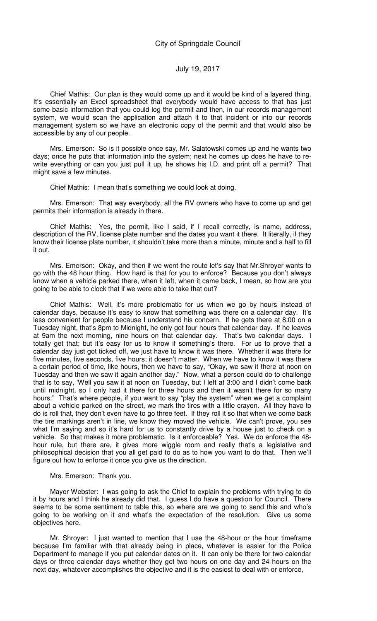Chief Mathis: Our plan is they would come up and it would be kind of a layered thing. It's essentially an Excel spreadsheet that everybody would have access to that has just some basic information that you could log the permit and then, in our records management system, we would scan the application and attach it to that incident or into our records management system so we have an electronic copy of the permit and that would also be accessible by any of our people.

Mrs. Emerson: So is it possible once say, Mr. Salatowski comes up and he wants two days; once he puts that information into the system; next he comes up does he have to rewrite everything or can you just pull it up, he shows his I.D. and print off a permit? That might save a few minutes.

Chief Mathis: I mean that's something we could look at doing.

Mrs. Emerson: That way everybody, all the RV owners who have to come up and get permits their information is already in there.

Chief Mathis: Yes, the permit, like I said, if I recall correctly, is name, address, description of the RV, license plate number and the dates you want it there. It literally, if they know their license plate number, it shouldn't take more than a minute, minute and a half to fill it out.

Mrs. Emerson: Okay, and then if we went the route let's say that Mr.Shroyer wants to go with the 48 hour thing. How hard is that for you to enforce? Because you don't always know when a vehicle parked there, when it left, when it came back, I mean, so how are you going to be able to clock that if we were able to take that out?

Chief Mathis: Well, it's more problematic for us when we go by hours instead of calendar days, because it's easy to know that something was there on a calendar day. It's less convenient for people because I understand his concern. If he gets there at 8:00 on a Tuesday night, that's 8pm to Midnight, he only got four hours that calendar day. If he leaves at 9am the next morning, nine hours on that calendar day. That's two calendar days. I totally get that; but it's easy for us to know if something's there. For us to prove that a calendar day just got ticked off, we just have to know it was there. Whether it was there for five minutes, five seconds, five hours; it doesn't matter. When we have to know it was there a certain period of time, like hours, then we have to say, "Okay, we saw it there at noon on Tuesday and then we saw it again another day." Now, what a person could do to challenge that is to say, 'Well you saw it at noon on Tuesday, but I left at 3:00 and I didn't come back until midnight, so I only had it there for three hours and then it wasn't there for so many hours." That's where people, if you want to say "play the system" when we get a complaint about a vehicle parked on the street, we mark the tires with a little crayon. All they have to do is roll that, they don't even have to go three feet. If they roll it so that when we come back the tire markings aren't in line, we know they moved the vehicle. We can't prove, you see what I'm saying and so it's hard for us to constantly drive by a house just to check on a vehicle. So that makes it more problematic. Is it enforceable? Yes. We do enforce the 48 hour rule, but there are, it gives more wiggle room and really that's a legislative and philosophical decision that you all get paid to do as to how you want to do that. Then we'll figure out how to enforce it once you give us the direction.

#### Mrs. Emerson: Thank you.

Mayor Webster: I was going to ask the Chief to explain the problems with trying to do it by hours and I think he already did that. I guess I do have a question for Council. There seems to be some sentiment to table this, so where are we going to send this and who's going to be working on it and what's the expectation of the resolution. Give us some objectives here.

Mr. Shroyer: I just wanted to mention that I use the 48-hour or the hour timeframe because I'm familiar with that already being in place, whatever is easier for the Police Department to manage if you put calendar dates on it. It can only be there for two calendar days or three calendar days whether they get two hours on one day and 24 hours on the next day, whatever accomplishes the objective and it is the easiest to deal with or enforce,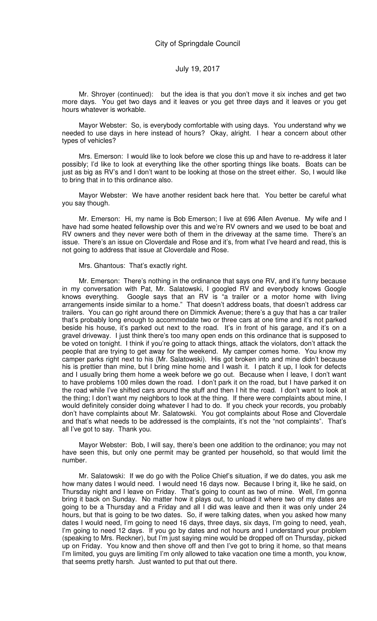Mr. Shroyer (continued): but the idea is that you don't move it six inches and get two more days. You get two days and it leaves or you get three days and it leaves or you get hours whatever is workable.

Mayor Webster: So, is everybody comfortable with using days. You understand why we needed to use days in here instead of hours? Okay, alright. I hear a concern about other types of vehicles?

Mrs. Emerson: I would like to look before we close this up and have to re-address it later possibly; I'd like to look at everything like the other sporting things like boats. Boats can be just as big as RV's and I don't want to be looking at those on the street either. So, I would like to bring that in to this ordinance also.

Mayor Webster: We have another resident back here that. You better be careful what you say though.

Mr. Emerson: Hi, my name is Bob Emerson; I live at 696 Allen Avenue. My wife and I have had some heated fellowship over this and we're RV owners and we used to be boat and RV owners and they never were both of them in the driveway at the same time. There's an issue. There's an issue on Cloverdale and Rose and it's, from what I've heard and read, this is not going to address that issue at Cloverdale and Rose.

Mrs. Ghantous: That's exactly right.

Mr. Emerson: There's nothing in the ordinance that says one RV, and it's funny because in my conversation with Pat, Mr. Salatowski, I googled RV and everybody knows Google knows everything. Google says that an RV is "a trailer or a motor home with living arrangements inside similar to a home." That doesn't address boats, that doesn't address car trailers. You can go right around there on Dimmick Avenue; there's a guy that has a car trailer that's probably long enough to accommodate two or three cars at one time and it's not parked beside his house, it's parked out next to the road. It's in front of his garage, and it's on a gravel driveway. I just think there's too many open ends on this ordinance that is supposed to be voted on tonight. I think if you're going to attack things, attack the violators, don't attack the people that are trying to get away for the weekend. My camper comes home. You know my camper parks right next to his (Mr. Salatowski). His got broken into and mine didn't because his is prettier than mine, but I bring mine home and I wash it. I patch it up, I look for defects and I usually bring them home a week before we go out. Because when I leave, I don't want to have problems 100 miles down the road. I don't park it on the road, but I have parked it on the road while I've shifted cars around the stuff and then I hit the road. I don't want to look at the thing; I don't want my neighbors to look at the thing. If there were complaints about mine, I would definitely consider doing whatever I had to do. If you check your records, you probably don't have complaints about Mr. Salatowski. You got complaints about Rose and Cloverdale and that's what needs to be addressed is the complaints, it's not the "not complaints". That's all I've got to say. Thank you.

Mayor Webster: Bob, I will say, there's been one addition to the ordinance; you may not have seen this, but only one permit may be granted per household, so that would limit the number.

Mr. Salatowski: If we do go with the Police Chief's situation, if we do dates, you ask me how many dates I would need. I would need 16 days now. Because I bring it, like he said, on Thursday night and I leave on Friday. That's going to count as two of mine. Well, I'm gonna bring it back on Sunday. No matter how it plays out, to unload it where two of my dates are going to be a Thursday and a Friday and all I did was leave and then it was only under 24 hours, but that is going to be two dates. So, if were talking dates, when you asked how many dates I would need, I'm going to need 16 days, three days, six days, I'm going to need, yeah, I'm going to need 12 days. If you go by dates and not hours and I understand your problem (speaking to Mrs. Reckner), but I'm just saying mine would be dropped off on Thursday, picked up on Friday. You know and then shove off and then I've got to bring it home, so that means I'm limited, you guys are limiting I'm only allowed to take vacation one time a month, you know, that seems pretty harsh. Just wanted to put that out there.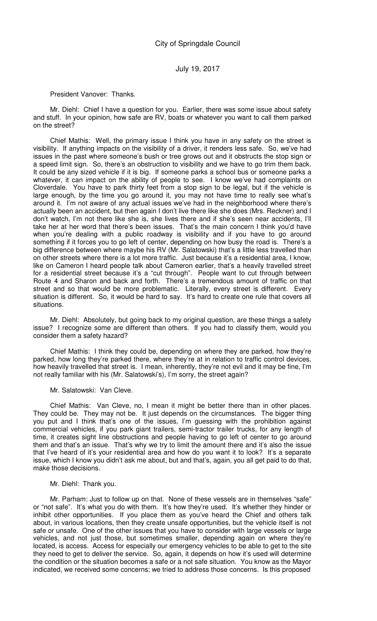President Vanover: Thanks.

Mr. Diehl: Chief I have a question for you. Earlier, there was some issue about safety and stuff. In your opinion, how safe are RV, boats or whatever you want to call them parked on the street?

Chief Mathis: Well, the primary issue I think you have in any safety on the street is visibility. If anything impacts on the visibility of a driver, it renders less safe. So, we've had issues in the past where someone's bush or tree grows out and it obstructs the stop sign or a speed limit sign. So, there's an obstruction to visibility and we have to go trim them back. It could be any sized vehicle if it is big. If someone parks a school bus or someone parks a whatever, it can impact on the ability of people to see. I know we've had complaints on Cloverdale. You have to park thirty feet from a stop sign to be legal, but if the vehicle is large enough, by the time you go around it, you may not have time to really see what's around it. I'm not aware of any actual issues we've had in the neighborhood where there's actually been an accident, but then again I don't live there like she does (Mrs. Reckner) and I don't watch, I'm not there like she is, she lives there and if she's seen near accidents, I'll take her at her word that there's been issues. That's the main concern I think you'd have when you're dealing with a public roadway is visibility and if you have to go around something if it forces you to go left of center, depending on how busy the road is. There's a big difference between where maybe his RV (Mr. Salatowski) that's a little less travelled than on other streets where there is a lot more traffic. Just because it's a residential area, I know, like on Cameron I heard people talk about Cameron earlier, that's a heavily travelled street for a residential street because it's a "cut through". People want to cut through between Route 4 and Sharon and back and forth. There's a tremendous amount of traffic on that street and so that would be more problematic. Literally, every street is different. Every situation is different. So, it would be hard to say. It's hard to create one rule that covers all situations.

Mr. Diehl: Absolutely, but going back to my original question, are these things a safety issue? I recognize some are different than others. If you had to classify them, would you consider them a safety hazard?

Chief Mathis: I think they could be, depending on where they are parked, how they're parked, how long they're parked there, where they're at in relation to traffic control devices, how heavily travelled that street is. I mean, inherently, they're not evil and it may be fine, I'm not really familiar with his (Mr. Salatowski's), I'm sorry, the street again?

Mr. Salatowski: Van Cleve.

Chief Mathis: Van Cleve, no, I mean it might be better there than in other places. They could be. They may not be. It just depends on the circumstances. The bigger thing you put and I think that's one of the issues, I'm guessing with the prohibition against commercial vehicles, if you park giant trailers, semi-tractor trailer trucks, for any length of time, it creates sight line obstructions and people having to go left of center to go around them and that's an issue. That's why we try to limit the amount there and it's also the issue that I've heard of it's your residential area and how do you want it to look? It's a separate issue, which I know you didn't ask me about, but and that's, again, you all get paid to do that, make those decisions.

#### Mr. Diehl: Thank you.

Mr. Parham: Just to follow up on that. None of these vessels are in themselves "safe" or "not safe". It's what you do with them. It's how they're used. It's whether they hinder or inhibit other opportunities. If you place them as you've heard the Chief and others talk about, in various locations, then they create unsafe opportunities, but the vehicle itself is not safe or unsafe. One of the other issues that you have to consider with large vessels or large vehicles, and not just those, but sometimes smaller, depending again on where they're located, is access. Access for especially our emergency vehicles to be able to get to the site they need to get to deliver the service. So, again, it depends on how it's used will determine the condition or the situation becomes a safe or a not safe situation. You know as the Mayor indicated, we received some concerns; we tried to address those concerns. Is this proposed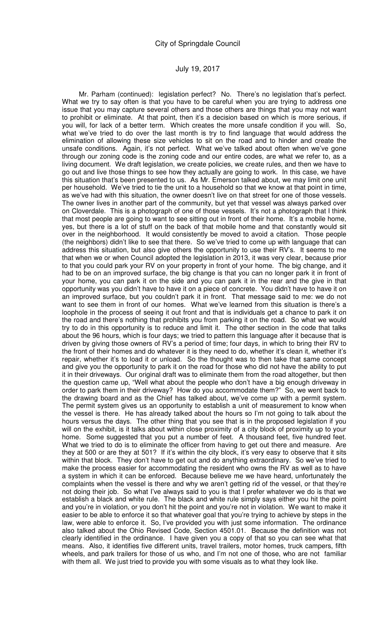Mr. Parham (continued): legislation perfect? No. There's no legislation that's perfect. What we try to say often is that you have to be careful when you are trying to address one issue that you may capture several others and those others are things that you may not want to prohibit or eliminate. At that point, then it's a decision based on which is more serious, if you will, for lack of a better term. Which creates the more unsafe condition if you will. So, what we've tried to do over the last month is try to find language that would address the elimination of allowing these size vehicles to sit on the road and to hinder and create the unsafe conditions. Again, it's not perfect. What we've talked about often when we've gone through our zoning code is the zoning code and our entire codes, are what we refer to, as a living document. We draft legislation, we create policies, we create rules, and then we have to go out and live those things to see how they actually are going to work. In this case, we have this situation that's been presented to us. As Mr. Emerson talked about, we may limit one unit per household. We've tried to tie the unit to a household so that we know at that point in time, as we've had with this situation, the owner doesn't live on that street for one of those vessels. The owner lives in another part of the community, but yet that vessel was always parked over on Cloverdale. This is a photograph of one of those vessels. It's not a photograph that I think that most people are going to want to see sitting out in front of their home. It's a mobile home, yes, but there is a lot of stuff on the back of that mobile home and that constantly would sit over in the neighborhood. It would consistently be moved to avoid a citation. Those people (the neighbors) didn't like to see that there. So we've tried to come up with language that can address this situation, but also give others the opportunity to use their RV's. It seems to me that when we or when Council adopted the legislation in 2013, it was very clear, because prior to that you could park your RV on your property in front of your home. The big change, and it had to be on an improved surface, the big change is that you can no longer park it in front of your home, you can park it on the side and you can park it in the rear and the give in that opportunity was you didn't have to have it on a piece of concrete. You didn't have to have it on an improved surface, but you couldn't park it in front. That message said to me: we do not want to see them in front of our homes. What we've learned from this situation is there's a loophole in the process of seeing it out front and that is individuals get a chance to park it on the road and there's nothing that prohibits you from parking it on the road. So what we would try to do in this opportunity is to reduce and limit it. The other section in the code that talks about the 96 hours, which is four days; we tried to pattern this language after it because that is driven by giving those owners of RV's a period of time; four days, in which to bring their RV to the front of their homes and do whatever it is they need to do, whether it's clean it, whether it's repair, whether it's to load it or unload. So the thought was to then take that same concept and give you the opportunity to park it on the road for those who did not have the ability to put it in their driveways. Our original draft was to eliminate them from the road altogether, but then the question came up, "Well what about the people who don't have a big enough driveway in order to park them in their driveway? How do you accommodate them?" So, we went back to the drawing board and as the Chief has talked about, we've come up with a permit system. The permit system gives us an opportunity to establish a unit of measurement to know when the vessel is there. He has already talked about the hours so I'm not going to talk about the hours versus the days. The other thing that you see that is in the proposed legislation if you will on the exhibit, is it talks about within close proximity of a city block of proximity up to your home. Some suggested that you put a number of feet. A thousand feet, five hundred feet. What we tried to do is to eliminate the officer from having to get out there and measure. Are they at 500 or are they at 501? If it's within the city block, it's very easy to observe that it sits within that block. They don't have to get out and do anything extraordinary. So we've tried to make the process easier for accommodating the resident who owns the RV as well as to have a system in which it can be enforced. Because believe me we have heard, unfortunately the complaints when the vessel is there and why we aren't getting rid of the vessel, or that they're not doing their job. So what I've always said to you is that I prefer whatever we do is that we establish a black and white rule. The black and white rule simply says either you hit the point and you're in violation, or you don't hit the point and you're not in violation. We want to make it easier to be able to enforce it so that whatever goal that you're trying to achieve by steps in the law, were able to enforce it. So, I've provided you with just some information. The ordinance also talked about the Ohio Revised Code, Section 4501.01. Because the definition was not clearly identified in the ordinance. I have given you a copy of that so you can see what that means. Also, it identifies five different units, travel trailers, motor homes, truck campers, fifth wheels, and park trailers for those of us who, and I'm not one of those, who are not familiar with them all. We just tried to provide you with some visuals as to what they look like.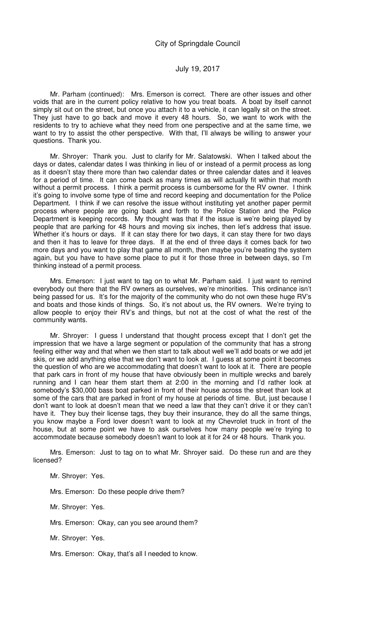Mr. Parham (continued): Mrs. Emerson is correct. There are other issues and other voids that are in the current policy relative to how you treat boats. A boat by itself cannot simply sit out on the street, but once you attach it to a vehicle, it can legally sit on the street. They just have to go back and move it every 48 hours. So, we want to work with the residents to try to achieve what they need from one perspective and at the same time, we want to try to assist the other perspective. With that, I'll always be willing to answer your questions. Thank you.

Mr. Shroyer: Thank you. Just to clarify for Mr. Salatowski. When I talked about the days or dates, calendar dates I was thinking in lieu of or instead of a permit process as long as it doesn't stay there more than two calendar dates or three calendar dates and it leaves for a period of time. It can come back as many times as will actually fit within that month without a permit process. I think a permit process is cumbersome for the RV owner. I think it's going to involve some type of time and record keeping and documentation for the Police Department. I think if we can resolve the issue without instituting yet another paper permit process where people are going back and forth to the Police Station and the Police Department is keeping records. My thought was that if the issue is we're being played by people that are parking for 48 hours and moving six inches, then let's address that issue. Whether it's hours or days. If it can stay there for two days, it can stay there for two days and then it has to leave for three days. If at the end of three days it comes back for two more days and you want to play that game all month, then maybe you're beating the system again, but you have to have some place to put it for those three in between days, so I'm thinking instead of a permit process.

Mrs. Emerson: I just want to tag on to what Mr. Parham said. I just want to remind everybody out there that the RV owners as ourselves, we're minorities. This ordinance isn't being passed for us. It's for the majority of the community who do not own these huge RV's and boats and those kinds of things. So, it's not about us, the RV owners. We're trying to allow people to enjoy their RV's and things, but not at the cost of what the rest of the community wants.

Mr. Shroyer: I guess I understand that thought process except that I don't get the impression that we have a large segment or population of the community that has a strong feeling either way and that when we then start to talk about well we'll add boats or we add jet skis, or we add anything else that we don't want to look at. I guess at some point it becomes the question of who are we accommodating that doesn't want to look at it. There are people that park cars in front of my house that have obviously been in multiple wrecks and barely running and I can hear them start them at 2:00 in the morning and I'd rather look at somebody's \$30,000 bass boat parked in front of their house across the street than look at some of the cars that are parked in front of my house at periods of time. But, just because I don't want to look at doesn't mean that we need a law that they can't drive it or they can't have it. They buy their license tags, they buy their insurance, they do all the same things, you know maybe a Ford lover doesn't want to look at my Chevrolet truck in front of the house, but at some point we have to ask ourselves how many people we're trying to accommodate because somebody doesn't want to look at it for 24 or 48 hours. Thank you.

Mrs. Emerson: Just to tag on to what Mr. Shroyer said. Do these run and are they licensed?

Mr. Shroyer: Yes.

Mrs. Emerson: Do these people drive them?

Mr. Shroyer: Yes.

Mrs. Emerson: Okay, can you see around them?

Mr. Shroyer: Yes.

Mrs. Emerson: Okay, that's all I needed to know.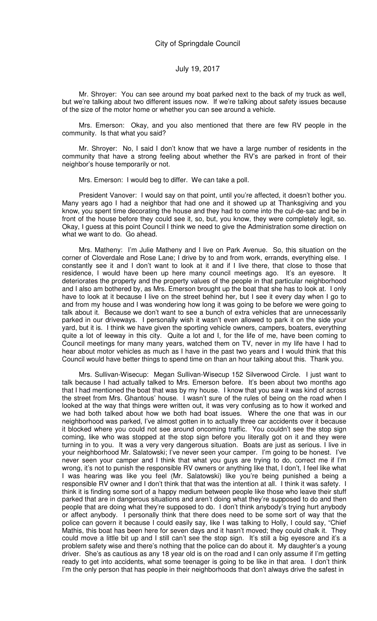Mr. Shroyer: You can see around my boat parked next to the back of my truck as well, but we're talking about two different issues now. If we're talking about safety issues because of the size of the motor home or whether you can see around a vehicle.

Mrs. Emerson: Okay, and you also mentioned that there are few RV people in the community. Is that what you said?

Mr. Shroyer: No, I said I don't know that we have a large number of residents in the community that have a strong feeling about whether the RV's are parked in front of their neighbor's house temporarily or not.

Mrs. Emerson: I would beg to differ. We can take a poll.

President Vanover: I would say on that point, until you're affected, it doesn't bother you. Many years ago I had a neighbor that had one and it showed up at Thanksgiving and you know, you spent time decorating the house and they had to come into the cul-de-sac and be in front of the house before they could see it, so, but, you know, they were completely legit, so. Okay, I guess at this point Council I think we need to give the Administration some direction on what we want to do. Go ahead.

Mrs. Matheny: I'm Julie Matheny and I live on Park Avenue. So, this situation on the corner of Cloverdale and Rose Lane; I drive by to and from work, errands, everything else. I constantly see it and I don't want to look at it and if I live there, that close to those that residence, I would have been up here many council meetings ago. It's an eyesore. It deteriorates the property and the property values of the people in that particular neighborhood and I also am bothered by, as Mrs. Emerson brought up the boat that she has to look at. I only have to look at it because I live on the street behind her, but I see it every day when I go to and from my house and I was wondering how long it was going to be before we were going to talk about it. Because we don't want to see a bunch of extra vehicles that are unnecessarily parked in our driveways. I personally wish it wasn't even allowed to park it on the side your yard, but it is. I think we have given the sporting vehicle owners, campers, boaters, everything quite a lot of leeway in this city. Quite a lot and I, for the life of me, have been coming to Council meetings for many many years, watched them on TV, never in my life have I had to hear about motor vehicles as much as I have in the past two years and I would think that this Council would have better things to spend time on than an hour talking about this. Thank you.

Mrs. Sullivan-Wisecup: Megan Sullivan-Wisecup 152 Silverwood Circle. I just want to talk because I had actually talked to Mrs. Emerson before. It's been about two months ago that I had mentioned the boat that was by my house. I know that you saw it was kind of across the street from Mrs. Ghantous' house. I wasn't sure of the rules of being on the road when I looked at the way that things were written out, it was very confusing as to how it worked and we had both talked about how we both had boat issues. Where the one that was in our neighborhood was parked, I've almost gotten in to actually three car accidents over it because it blocked where you could not see around oncoming traffic. You couldn't see the stop sign coming, like who was stopped at the stop sign before you literally got on it and they were turning in to you. It was a very very dangerous situation. Boats are just as serious. I live in your neighborhood Mr. Salatowski; I've never seen your camper. I'm going to be honest. I've never seen your camper and I think that what you guys are trying to do, correct me if I'm wrong, it's not to punish the responsible RV owners or anything like that, I don't, I feel like what I was hearing was like you feel (Mr. Salatowski) like you're being punished a being a responsible RV owner and I don't think that that was the intention at all. I think it was safety. I think it is finding some sort of a happy medium between people like those who leave their stuff parked that are in dangerous situations and aren't doing what they're supposed to do and then people that are doing what they're supposed to do. I don't think anybody's trying hurt anybody or affect anybody. I personally think that there does need to be some sort of way that the police can govern it because I could easily say, like I was talking to Holly, I could say, "Chief Mathis, this boat has been here for seven days and it hasn't moved; they could chalk it. They could move a little bit up and I still can't see the stop sign. It's still a big eyesore and it's a problem safety wise and there's nothing that the police can do about it. My daughter's a young driver. She's as cautious as any 18 year old is on the road and I can only assume if I'm getting ready to get into accidents, what some teenager is going to be like in that area. I don't think I'm the only person that has people in their neighborhoods that don't always drive the safest in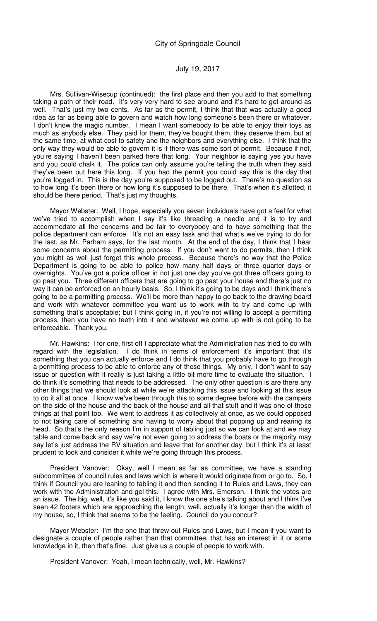Mrs. Sullivan-Wisecup (continued): the first place and then you add to that something taking a path of their road. It's very very hard to see around and it's hard to get around as well. That's just my two cents. As far as the permit, I think that that was actually a good idea as far as being able to govern and watch how long someone's been there or whatever. I don't know the magic number. I mean I want somebody to be able to enjoy their toys as much as anybody else. They paid for them, they've bought them, they deserve them, but at the same time, at what cost to safety and the neighbors and everything else. I think that the only way they would be able to govern it is if there was some sort of permit. Because if not, you're saying I haven't been parked here that long. Your neighbor is saying yes you have and you could chalk it. The police can only assume you're telling the truth when they said they've been out here this long. If you had the permit you could say this is the day that you're logged in. This is the day you're supposed to be logged out. There's no question as to how long it's been there or how long it's supposed to be there. That's when it's allotted, it should be there period. That's just my thoughts.

Mayor Webster: Well, I hope, especially you seven individuals have got a feel for what we've tried to accomplish when I say it's like threading a needle and it is to try and accommodate all the concerns and be fair to everybody and to have something that the police department can enforce. It's not an easy task and that what's we've trying to do for the last, as Mr. Parham says, for the last month. At the end of the day, I think that I hear some concerns about the permitting process. If you don't want to do permits, then I think you might as well just forget this whole process. Because there's no way that the Police Department is going to be able to police how many half days or three quarter days or overnights. You've got a police officer in not just one day you've got three officers going to go past you. Three different officers that are going to go past your house and there's just no way it can be enforced on an hourly basis. So, I think it's going to be days and I think there's going to be a permitting process. We'll be more than happy to go back to the drawing board and work with whatever committee you want us to work with to try and come up with something that's acceptable; but I think going in, if you're not willing to accept a permitting process, then you have no teeth into it and whatever we come up with is not going to be enforceable. Thank you.

Mr. Hawkins: I for one, first off I appreciate what the Administration has tried to do with regard with the legislation. I do think in terms of enforcement it's important that it's something that you can actually enforce and I do think that you probably have to go through a permitting process to be able to enforce any of these things. My only, I don't want to say issue or question with it really is just taking a little bit more time to evaluate the situation. I do think it's something that needs to be addressed. The only other question is are there any other things that we should look at while we're attacking this issue and looking at this issue to do it all at once. I know we've been through this to some degree before with the campers on the side of the house and the back of the house and all that stuff and it was one of those things at that point too. We went to address it as collectively at once, as we could opposed to not taking care of something and having to worry about that popping up and rearing its head. So that's the only reason I'm in support of tabling just so we can look at and we may table and come back and say we're not even going to address the boats or the majority may say let's just address the RV situation and leave that for another day, but I think it's at least prudent to look and consider it while we're going through this process.

President Vanover: Okay, well I mean as far as committee, we have a standing subcommittee of council rules and laws which is where it would originate from or go to. So, I think if Council you are leaning to tabling it and then sending it to Rules and Laws, they can work with the Administration and gel this. I agree with Mrs. Emerson. I think the votes are an issue. The big, well, it's like you said it, I know the one she's talking about and I think I've seen 42 footers which are approaching the length, well, actually it's longer than the width of my house, so, I think that seems to be the feeling. Council do you concur?

Mayor Webster: I'm the one that threw out Rules and Laws, but I mean if you want to designate a couple of people rather than that committee, that has an interest in it or some knowledge in it, then that's fine. Just give us a couple of people to work with.

President Vanover: Yeah, I mean technically, well, Mr. Hawkins?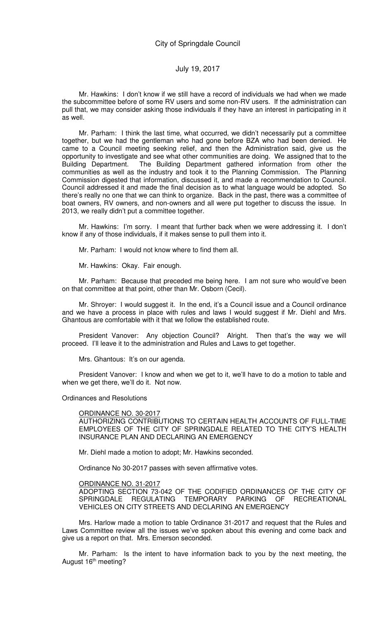Mr. Hawkins: I don't know if we still have a record of individuals we had when we made the subcommittee before of some RV users and some non-RV users. If the administration can pull that, we may consider asking those individuals if they have an interest in participating in it as well.

Mr. Parham: I think the last time, what occurred, we didn't necessarily put a committee together, but we had the gentleman who had gone before BZA who had been denied. He came to a Council meeting seeking relief, and then the Administration said, give us the opportunity to investigate and see what other communities are doing. We assigned that to the Building Department. The Building Department gathered information from other the communities as well as the industry and took it to the Planning Commission. The Planning Commission digested that information, discussed it, and made a recommendation to Council. Council addressed it and made the final decision as to what language would be adopted. So there's really no one that we can think to organize. Back in the past, there was a committee of boat owners, RV owners, and non-owners and all were put together to discuss the issue. In 2013, we really didn't put a committee together.

Mr. Hawkins: I'm sorry. I meant that further back when we were addressing it. I don't know if any of those individuals, if it makes sense to pull them into it.

Mr. Parham: I would not know where to find them all.

Mr. Hawkins: Okay. Fair enough.

Mr. Parham: Because that preceded me being here. I am not sure who would've been on that committee at that point, other than Mr. Osborn (Cecil).

Mr. Shroyer: I would suggest it. In the end, it's a Council issue and a Council ordinance and we have a process in place with rules and laws I would suggest if Mr. Diehl and Mrs. Ghantous are comfortable with it that we follow the established route.

President Vanover: Any objection Council? Alright. Then that's the way we will proceed. I'll leave it to the administration and Rules and Laws to get together.

Mrs. Ghantous: It's on our agenda.

President Vanover: I know and when we get to it, we'll have to do a motion to table and when we get there, we'll do it. Not now.

Ordinances and Resolutions

#### ORDINANCE NO. 30-2017

AUTHORIZING CONTRIBUTIONS TO CERTAIN HEALTH ACCOUNTS OF FULL-TIME EMPLOYEES OF THE CITY OF SPRINGDALE RELATED TO THE CITY'S HEALTH INSURANCE PLAN AND DECLARING AN EMERGENCY

Mr. Diehl made a motion to adopt; Mr. Hawkins seconded.

Ordinance No 30-2017 passes with seven affirmative votes.

#### ORDINANCE NO. 31-2017

ADOPTING SECTION 73-042 OF THE CODIFIED ORDINANCES OF THE CITY OF SPRINGDALE REGULATING TEMPORARY PARKING OF RECREATIONAL VEHICLES ON CITY STREETS AND DECLARING AN EMERGENCY

Mrs. Harlow made a motion to table Ordinance 31-2017 and request that the Rules and Laws Committee review all the issues we've spoken about this evening and come back and give us a report on that. Mrs. Emerson seconded.

Mr. Parham: Is the intent to have information back to you by the next meeting, the August 16<sup>th</sup> meeting?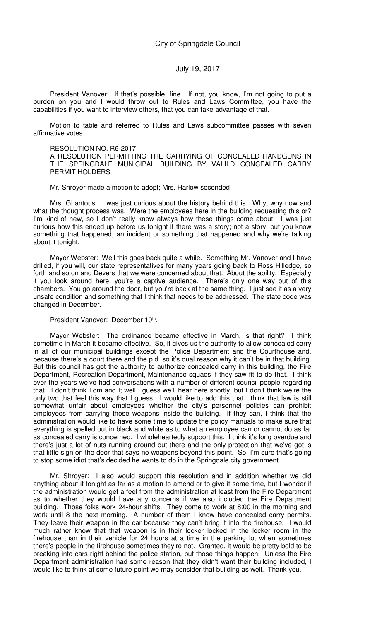President Vanover: If that's possible, fine. If not, you know, I'm not going to put a burden on you and I would throw out to Rules and Laws Committee, you have the capabilities if you want to interview others, that you can take advantage of that.

Motion to table and referred to Rules and Laws subcommittee passes with seven affirmative votes.

#### RESOLUTION NO. R6-2017

A RESOLUTION PERMITTING THE CARRYING OF CONCEALED HANDGUNS IN THE SPRINGDALE MUNICIPAL BUILDING BY VALILD CONCEALED CARRY PERMIT HOLDERS

Mr. Shroyer made a motion to adopt; Mrs. Harlow seconded

Mrs. Ghantous: I was just curious about the history behind this. Why, why now and what the thought process was. Were the employees here in the building requesting this or? I'm kind of new, so I don't really know always how these things come about. I was just curious how this ended up before us tonight if there was a story; not a story, but you know something that happened; an incident or something that happened and why we're talking about it tonight.

Mayor Webster: Well this goes back quite a while. Something Mr. Vanover and I have drilled, if you will, our state representatives for many years going back to Ross Hilledge, so forth and so on and Devers that we were concerned about that. About the ability. Especially if you look around here, you're a captive audience. There's only one way out of this chambers. You go around the door, but you're back at the same thing. I just see it as a very unsafe condition and something that I think that needs to be addressed. The state code was changed in December.

#### President Vanover: December 19<sup>th</sup>.

Mayor Webster: The ordinance became effective in March, is that right? I think sometime in March it became effective. So, it gives us the authority to allow concealed carry in all of our municipal buildings except the Police Department and the Courthouse and, because there's a court there and the p.d. so it's dual reason why it can't be in that building. But this council has got the authority to authorize concealed carry in this building, the Fire Department, Recreation Department, Maintenance squads if they saw fit to do that. I think over the years we've had conversations with a number of different council people regarding that. I don't think Tom and I; well I guess we'll hear here shortly, but I don't think we're the only two that feel this way that I guess. I would like to add this that I think that law is still somewhat unfair about employees whether the city's personnel policies can prohibit employees from carrying those weapons inside the building. If they can, I think that the administration would like to have some time to update the policy manuals to make sure that everything is spelled out in black and white as to what an employee can or cannot do as far as concealed carry is concerned. I wholeheartedly support this. I think it's long overdue and there's just a lot of nuts running around out there and the only protection that we've got is that little sign on the door that says no weapons beyond this point. So, I'm sure that's going to stop some idiot that's decided he wants to do in the Springdale city government.

Mr. Shroyer: I also would support this resolution and in addition whether we did anything about it tonight as far as a motion to amend or to give it some time, but I wonder if the administration would get a feel from the administration at least from the Fire Department as to whether they would have any concerns if we also included the Fire Department building. Those folks work 24-hour shifts. They come to work at 8:00 in the morning and work until 8 the next morning. A number of them I know have concealed carry permits. They leave their weapon in the car because they can't bring it into the firehouse. I would much rather know that that weapon is in their locker locked in the locker room in the firehouse than in their vehicle for 24 hours at a time in the parking lot when sometimes there's people in the firehouse sometimes they're not. Granted, it would be pretty bold to be breaking into cars right behind the police station, but those things happen. Unless the Fire Department administration had some reason that they didn't want their building included, I would like to think at some future point we may consider that building as well. Thank you.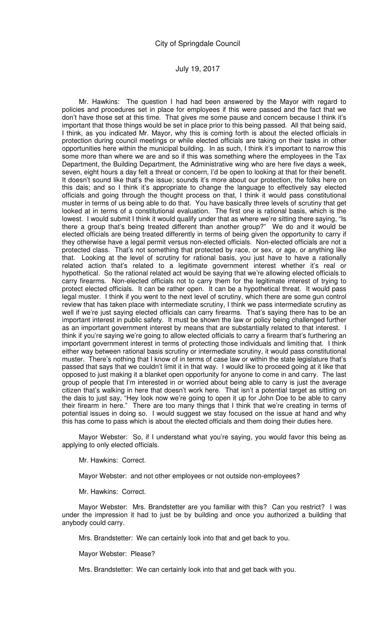Mr. Hawkins: The question I had had been answered by the Mayor with regard to policies and procedures set in place for employees if this were passed and the fact that we don't have those set at this time. That gives me some pause and concern because I think it's important that those things would be set in place prior to this being passed. All that being said, I think, as you indicated Mr. Mayor, why this is coming forth is about the elected officials in protection during council meetings or while elected officials are taking on their tasks in other opportunities here within the municipal building. In as such, I think it's important to narrow this some more than where we are and so if this was something where the employees in the Tax Department, the Building Department, the Administrative wing who are here five days a week, seven, eight hours a day felt a threat or concern, I'd be open to looking at that for their benefit. It doesn't sound like that's the issue; sounds it's more about our protection, the folks here on this dais; and so I think it's appropriate to change the language to effectively say elected officials and going through the thought process on that, I think it would pass constitutional muster in terms of us being able to do that. You have basically three levels of scrutiny that get looked at in terms of a constitutional evaluation. The first one is rational basis, which is the lowest. I would submit I think it would qualify under that as where we're sitting there saying, "Is there a group that's being treated different than another group?" We do and it would be elected officials are being treated differently in terms of being given the opportunity to carry if they otherwise have a legal permit versus non-elected officials. Non-elected officials are not a protected class. That's not something that protected by race, or sex, or age, or anything like that. Looking at the level of scrutiny for rational basis, you just have to have a rationally related action that's related to a legitimate government interest whether it's real or hypothetical. So the rational related act would be saying that we're allowing elected officials to carry firearms. Non-elected officials not to carry them for the legitimate interest of trying to protect elected officials. It can be rather open. It can be a hypothetical threat. It would pass legal muster. I think if you went to the next level of scrutiny, which there are some gun control review that has taken place with intermediate scrutiny, I think we pass intermediate scrutiny as well if we're just saying elected officials can carry firearms. That's saying there has to be an important interest in public safety. It must be shown the law or policy being challenged further as an important government interest by means that are substantially related to that interest. I think if you're saying we're going to allow elected officials to carry a firearm that's furthering an important government interest in terms of protecting those individuals and limiting that. I think either way between rational basis scrutiny or intermediate scrutiny, it would pass constitutional muster. There's nothing that I know of in terms of case law or within the state legislature that's passed that says that we couldn't limit it in that way. I would like to proceed going at it like that opposed to just making it a blanket open opportunity for anyone to come in and carry. The last group of people that I'm interested in or worried about being able to carry is just the average citizen that's walking in here that doesn't work here. That isn't a potential target as sitting on the dais to just say, "Hey look now we're going to open it up for John Doe to be able to carry their firearm in here." There are too many things that I think that we're creating in terms of potential issues in doing so. I would suggest we stay focused on the issue at hand and why this has come to pass which is about the elected officials and them doing their duties here.

Mayor Webster: So, if I understand what you're saying, you would favor this being as applying to only elected officials.

Mr. Hawkins: Correct.

Mayor Webster: and not other employees or not outside non-employees?

Mr. Hawkins: Correct.

Mayor Webster: Mrs. Brandstetter are you familiar with this? Can you restrict? I was under the impression it had to just be by building and once you authorized a building that anybody could carry.

Mrs. Brandstetter: We can certainly look into that and get back to you.

Mayor Webster: Please?

Mrs. Brandstetter: We can certainly look into that and get back with you.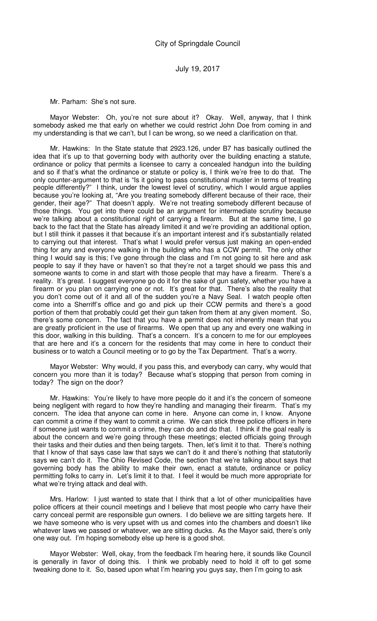Mr. Parham: She's not sure.

Mayor Webster: Oh, you're not sure about it? Okay. Well, anyway, that I think somebody asked me that early on whether we could restrict John Doe from coming in and my understanding is that we can't, but I can be wrong, so we need a clarification on that.

Mr. Hawkins: In the State statute that 2923.126, under B7 has basically outlined the idea that it's up to that governing body with authority over the building enacting a statute, ordinance or policy that permits a licensee to carry a concealed handgun into the building and so if that's what the ordinance or statute or policy is, I think we're free to do that. The only counter-argument to that is "Is it going to pass constitutional muster in terms of treating people differently?" I think, under the lowest level of scrutiny, which I would argue applies because you're looking at, "Are you treating somebody different because of their race, their gender, their age?" That doesn't apply. We're not treating somebody different because of those things. You get into there could be an argument for intermediate scrutiny because we're talking about a constitutional right of carrying a firearm. But at the same time, I go back to the fact that the State has already limited it and we're providing an additional option, but I still think it passes it that because it's an important interest and it's substantially related to carrying out that interest. That's what I would prefer versus just making an open-ended thing for any and everyone walking in the building who has a CCW permit. The only other thing I would say is this; I've gone through the class and I'm not going to sit here and ask people to say if they have or haven't so that they're not a target should we pass this and someone wants to come in and start with those people that may have a firearm. There's a reality. It's great. I suggest everyone go do it for the sake of gun safety, whether you have a firearm or you plan on carrying one or not. It's great for that. There's also the reality that you don't come out of it and all of the sudden you're a Navy Seal. I watch people often come into a Sherriff's office and go and pick up their CCW permits and there's a good portion of them that probably could get their gun taken from them at any given moment. So, there's some concern. The fact that you have a permit does not inherently mean that you are greatly proficient in the use of firearms. We open that up any and every one walking in this door, walking in this building. That's a concern. It's a concern to me for our employees that are here and it's a concern for the residents that may come in here to conduct their business or to watch a Council meeting or to go by the Tax Department. That's a worry.

Mayor Webster: Why would, if you pass this, and everybody can carry, why would that concern you more than it is today? Because what's stopping that person from coming in today? The sign on the door?

Mr. Hawkins: You're likely to have more people do it and it's the concern of someone being negligent with regard to how they're handling and managing their firearm. That's my concern. The idea that anyone can come in here. Anyone can come in, I know. Anyone can commit a crime if they want to commit a crime. We can stick three police officers in here if someone just wants to commit a crime, they can do and do that. I think if the goal really is about the concern and we're going through these meetings; elected officials going through their tasks and their duties and then being targets. Then, let's limit it to that. There's nothing that I know of that says case law that says we can't do it and there's nothing that statutorily says we can't do it. The Ohio Revised Code, the section that we're talking about says that governing body has the ability to make their own, enact a statute, ordinance or policy permitting folks to carry in. Let's limit it to that. I feel it would be much more appropriate for what we're trying attack and deal with.

Mrs. Harlow: I just wanted to state that I think that a lot of other municipalities have police officers at their council meetings and I believe that most people who carry have their carry conceal permit are responsible gun owners. I do believe we are sitting targets here. If we have someone who is very upset with us and comes into the chambers and doesn't like whatever laws we passed or whatever, we are sitting ducks. As the Mayor said, there's only one way out. I'm hoping somebody else up here is a good shot.

Mayor Webster: Well, okay, from the feedback I'm hearing here, it sounds like Council is generally in favor of doing this. I think we probably need to hold it off to get some tweaking done to it. So, based upon what I'm hearing you guys say, then I'm going to ask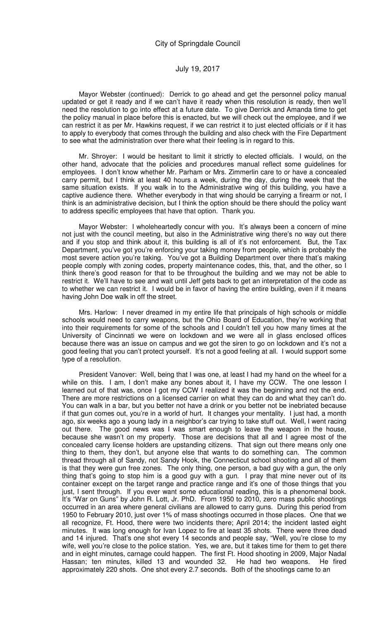Mayor Webster (continued): Derrick to go ahead and get the personnel policy manual updated or get it ready and if we can't have it ready when this resolution is ready, then we'll need the resolution to go into effect at a future date. To give Derrick and Amanda time to get the policy manual in place before this is enacted, but we will check out the employee, and if we can restrict it as per Mr. Hawkins request, if we can restrict it to just elected officials or if it has to apply to everybody that comes through the building and also check with the Fire Department to see what the administration over there what their feeling is in regard to this.

Mr. Shroyer: I would be hesitant to limit it strictly to elected officials. I would, on the other hand, advocate that the policies and procedures manual reflect some guidelines for employees. I don't know whether Mr. Parham or Mrs. Zimmerlin care to or have a concealed carry permit, but I think at least 40 hours a week, during the day, during the week that the same situation exists. If you walk in to the Administrative wing of this building, you have a captive audience there. Whether everybody in that wing should be carrying a firearm or not, I think is an administrative decision, but I think the option should be there should the policy want to address specific employees that have that option. Thank you.

Mayor Webster: I wholeheartedly concur with you. It's always been a concern of mine not just with the council meeting, but also in the Administrative wing there's no way out there and if you stop and think about it, this building is all of it's not enforcement. But, the Tax Department, you've got you're enforcing your taking money from people, which is probably the most severe action you're taking. You've got a Building Department over there that's making people comply with zoning codes, property maintenance codes, this, that, and the other, so I think there's good reason for that to be throughout the building and we may not be able to restrict it. We'll have to see and wait until Jeff gets back to get an interpretation of the code as to whether we can restrict it. I would be in favor of having the entire building, even if it means having John Doe walk in off the street.

Mrs. Harlow: I never dreamed in my entire life that principals of high schools or middle schools would need to carry weapons, but the Ohio Board of Education, they're working that into their requirements for some of the schools and I couldn't tell you how many times at the University of Cincinnati we were on lockdown and we were all in glass enclosed offices because there was an issue on campus and we got the siren to go on lockdown and it's not a good feeling that you can't protect yourself. It's not a good feeling at all. I would support some type of a resolution.

President Vanover: Well, being that I was one, at least I had my hand on the wheel for a while on this. I am, I don't make any bones about it, I have my CCW. The one lesson I learned out of that was, once I got my CCW I realized it was the beginning and not the end. There are more restrictions on a licensed carrier on what they can do and what they can't do. You can walk in a bar, but you better not have a drink or you better not be inebriated because if that gun comes out, you're in a world of hurt. It changes your mentality. I just had, a month ago, six weeks ago a young lady in a neighbor's car trying to take stuff out. Well, I went racing out there. The good news was I was smart enough to leave the weapon in the house, because she wasn't on my property. Those are decisions that all and I agree most of the concealed carry license holders are upstanding citizens. That sign out there means only one thing to them, they don't, but anyone else that wants to do something can. The common thread through all of Sandy, not Sandy Hook, the Connecticut school shooting and all of them is that they were gun free zones. The only thing, one person, a bad guy with a gun, the only thing that's going to stop him is a good guy with a gun. I pray that mine never out of its container except on the target range and practice range and it's one of those things that you just, I sent through. If you ever want some educational reading, this is a phenomenal book. It's "War on Guns" by John R. Lott, Jr. PhD. From 1950 to 2010, zero mass public shootings occurred in an area where general civilians are allowed to carry guns. During this period from 1950 to February 2010, just over 1% of mass shootings occurred in those places. One that we all recognize, Ft. Hood, there were two incidents there; April 2014; the incident lasted eight minutes. It was long enough for Ivan Lopez to fire at least 35 shots. There were three dead and 14 injured. That's one shot every 14 seconds and people say, "Well, you're close to my wife, well you're close to the police station. Yes, we are, but it takes time for them to get there and in eight minutes, carnage could happen. The first Ft. Hood shooting in 2009, Major Nadal Hassan; ten minutes, killed 13 and wounded 32. He had two weapons. He fired approximately 220 shots. One shot every 2.7 seconds. Both of the shootings came to an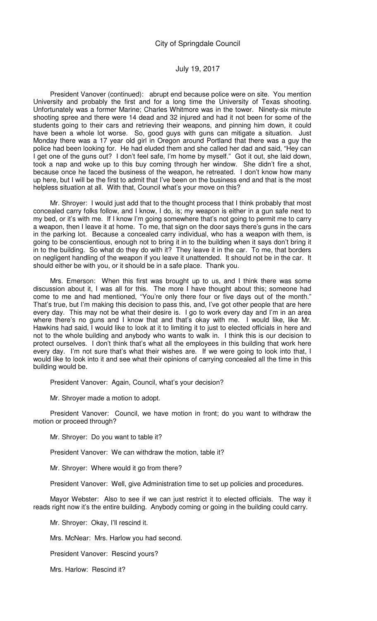President Vanover (continued): abrupt end because police were on site. You mention University and probably the first and for a long time the University of Texas shooting. Unfortunately was a former Marine; Charles Whitmore was in the tower. Ninety-six minute shooting spree and there were 14 dead and 32 injured and had it not been for some of the students going to their cars and retrieving their weapons, and pinning him down, it could have been a whole lot worse. So, good guys with guns can mitigate a situation. Just Monday there was a 17 year old girl in Oregon around Portland that there was a guy the police had been looking for. He had eluded them and she called her dad and said, "Hey can I get one of the guns out? I don't feel safe, I'm home by myself." Got it out, she laid down, took a nap and woke up to this buy coming through her window. She didn't fire a shot, because once he faced the business of the weapon, he retreated. I don't know how many up here, but I will be the first to admit that I've been on the business end and that is the most helpless situation at all. With that, Council what's your move on this?

Mr. Shroyer: I would just add that to the thought process that I think probably that most concealed carry folks follow, and I know, I do, is; my weapon is either in a gun safe next to my bed, or it's with me. If I know I'm going somewhere that's not going to permit me to carry a weapon, then I leave it at home. To me, that sign on the door says there's guns in the cars in the parking lot. Because a concealed carry individual, who has a weapon with them, is going to be conscientious, enough not to bring it in to the building when it says don't bring it in to the building. So what do they do with it? They leave it in the car. To me, that borders on negligent handling of the weapon if you leave it unattended. It should not be in the car. It should either be with you, or it should be in a safe place. Thank you.

Mrs. Emerson: When this first was brought up to us, and I think there was some discussion about it, I was all for this. The more I have thought about this; someone had come to me and had mentioned, "You're only there four or five days out of the month." That's true, but I'm making this decision to pass this, and, I've got other people that are here every day. This may not be what their desire is. I go to work every day and I'm in an area where there's no guns and I know that and that's okay with me. I would like, like Mr. Hawkins had said, I would like to look at it to limiting it to just to elected officials in here and not to the whole building and anybody who wants to walk in. I think this is our decision to protect ourselves. I don't think that's what all the employees in this building that work here every day. I'm not sure that's what their wishes are. If we were going to look into that, I would like to look into it and see what their opinions of carrying concealed all the time in this building would be.

President Vanover: Again, Council, what's your decision?

Mr. Shroyer made a motion to adopt.

President Vanover: Council, we have motion in front; do you want to withdraw the motion or proceed through?

Mr. Shroyer: Do you want to table it?

President Vanover: We can withdraw the motion, table it?

Mr. Shroyer: Where would it go from there?

President Vanover: Well, give Administration time to set up policies and procedures.

Mayor Webster: Also to see if we can just restrict it to elected officials. The way it reads right now it's the entire building. Anybody coming or going in the building could carry.

Mr. Shroyer: Okay, I'll rescind it.

Mrs. McNear: Mrs. Harlow you had second.

President Vanover: Rescind yours?

Mrs. Harlow: Rescind it?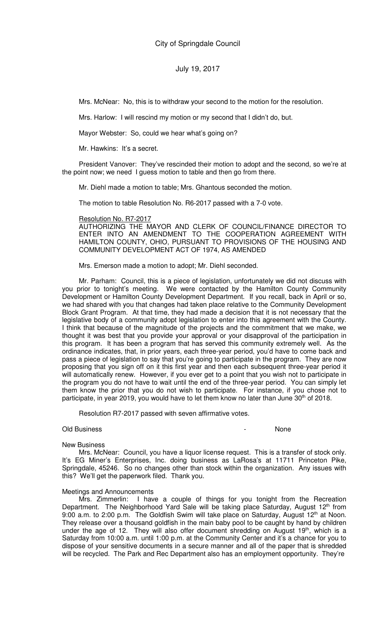Mrs. McNear: No, this is to withdraw your second to the motion for the resolution.

Mrs. Harlow: I will rescind my motion or my second that I didn't do, but.

Mayor Webster: So, could we hear what's going on?

Mr. Hawkins: It's a secret.

President Vanover: They've rescinded their motion to adopt and the second, so we're at the point now; we need I guess motion to table and then go from there.

Mr. Diehl made a motion to table; Mrs. Ghantous seconded the motion.

The motion to table Resolution No. R6-2017 passed with a 7-0 vote.

#### Resolution No. R7-2017

AUTHORIZING THE MAYOR AND CLERK OF COUNCIL/FINANCE DIRECTOR TO ENTER INTO AN AMENDMENT TO THE COOPERATION AGREEMENT WITH HAMILTON COUNTY, OHIO, PURSUANT TO PROVISIONS OF THE HOUSING AND COMMUNITY DEVELOPMENT ACT OF 1974, AS AMENDED

Mrs. Emerson made a motion to adopt; Mr. Diehl seconded.

Mr. Parham: Council, this is a piece of legislation, unfortunately we did not discuss with you prior to tonight's meeting. We were contacted by the Hamilton County Community Development or Hamilton County Development Department. If you recall, back in April or so, we had shared with you that changes had taken place relative to the Community Development Block Grant Program. At that time, they had made a decision that it is not necessary that the legislative body of a community adopt legislation to enter into this agreement with the County. I think that because of the magnitude of the projects and the commitment that we make, we thought it was best that you provide your approval or your disapproval of the participation in this program. It has been a program that has served this community extremely well. As the ordinance indicates, that, in prior years, each three-year period, you'd have to come back and pass a piece of legislation to say that you're going to participate in the program. They are now proposing that you sign off on it this first year and then each subsequent three-year period it will automatically renew. However, if you ever get to a point that you wish not to participate in the program you do not have to wait until the end of the three-year period. You can simply let them know the prior that you do not wish to participate. For instance, if you chose not to participate, in year 2019, you would have to let them know no later than June 30<sup>th</sup> of 2018.

Resolution R7-2017 passed with seven affirmative votes.

#### Old Business **None**

#### New Business

Mrs. McNear: Council, you have a liquor license request. This is a transfer of stock only. It's EG Miner's Enterprises, Inc. doing business as LaRosa's at 11711 Princeton Pike, Springdale, 45246. So no changes other than stock within the organization. Any issues with this? We'll get the paperwork filed. Thank you.

#### Meetings and Announcements

Mrs. Zimmerlin: I have a couple of things for you tonight from the Recreation Department. The Neighborhood Yard Sale will be taking place Saturday, August 12<sup>th</sup> from 9:00 a.m. to 2:00 p.m. The Goldfish Swim will take place on Saturday, August  $12<sup>th</sup>$  at Noon. They release over a thousand goldfish in the main baby pool to be caught by hand by children under the age of 12. They will also offer document shredding on August  $19<sup>th</sup>$ , which is a Saturday from 10:00 a.m. until 1:00 p.m. at the Community Center and it's a chance for you to dispose of your sensitive documents in a secure manner and all of the paper that is shredded will be recycled. The Park and Rec Department also has an employment opportunity. They're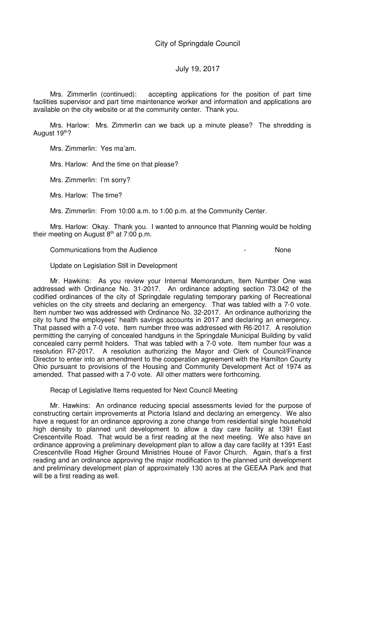Mrs. Zimmerlin (continued): accepting applications for the position of part time facilities supervisor and part time maintenance worker and information and applications are available on the city website or at the community center. Thank you.

Mrs. Harlow: Mrs. Zimmerlin can we back up a minute please? The shredding is August 19th?

Mrs. Zimmerlin: Yes ma'am.

Mrs. Harlow: And the time on that please?

Mrs. Zimmerlin: I'm sorry?

Mrs. Harlow: The time?

Mrs. Zimmerlin: From 10:00 a.m. to 1:00 p.m. at the Community Center.

Mrs. Harlow: Okay. Thank you. I wanted to announce that Planning would be holding their meeting on August  $8<sup>th</sup>$  at 7:00 p.m.

Communications from the Audience - None

Update on Legislation Still in Development

Mr. Hawkins: As you review your Internal Memorandum, Item Number One was addressed with Ordinance No. 31-2017. An ordinance adopting section 73.042 of the codified ordinances of the city of Springdale regulating temporary parking of Recreational vehicles on the city streets and declaring an emergency. That was tabled with a 7-0 vote. Item number two was addressed with Ordinance No. 32-2017. An ordinance authorizing the city to fund the employees' health savings accounts in 2017 and declaring an emergency. That passed with a 7-0 vote. Item number three was addressed with R6-2017. A resolution permitting the carrying of concealed handguns in the Springdale Municipal Building by valid concealed carry permit holders. That was tabled with a 7-0 vote. Item number four was a resolution R7-2017. A resolution authorizing the Mayor and Clerk of Council/Finance Director to enter into an amendment to the cooperation agreement with the Hamilton County Ohio pursuant to provisions of the Housing and Community Development Act of 1974 as amended. That passed with a 7-0 vote. All other matters were forthcoming.

Recap of Legislative Items requested for Next Council Meeting

Mr. Hawkins: An ordinance reducing special assessments levied for the purpose of constructing certain improvements at Pictoria Island and declaring an emergency. We also have a request for an ordinance approving a zone change from residential single household high density to planned unit development to allow a day care facility at 1391 East Crescentville Road. That would be a first reading at the next meeting. We also have an ordinance approving a preliminary development plan to allow a day care facility at 1391 East Crescentville Road Higher Ground Ministries House of Favor Church. Again, that's a first reading and an ordinance approving the major modification to the planned unit development and preliminary development plan of approximately 130 acres at the GEEAA Park and that will be a first reading as well.